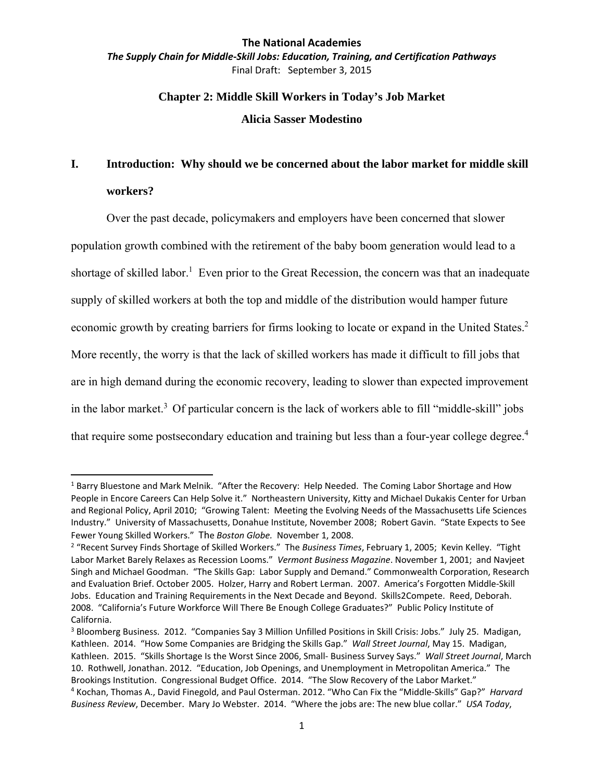*The Supply Chain for Middle‐Skill Jobs: Education, Training, and Certification Pathways* Final Draft: September 3, 2015

## **Chapter 2: Middle Skill Workers in Today's Job Market**

**Alicia Sasser Modestino** 

## **I. Introduction: Why should we be concerned about the labor market for middle skill workers?**

Over the past decade, policymakers and employers have been concerned that slower population growth combined with the retirement of the baby boom generation would lead to a shortage of skilled labor.<sup>1</sup> Even prior to the Great Recession, the concern was that an inadequate supply of skilled workers at both the top and middle of the distribution would hamper future economic growth by creating barriers for firms looking to locate or expand in the United States.<sup>2</sup> More recently, the worry is that the lack of skilled workers has made it difficult to fill jobs that are in high demand during the economic recovery, leading to slower than expected improvement in the labor market.<sup>3</sup> Of particular concern is the lack of workers able to fill "middle-skill" jobs that require some postsecondary education and training but less than a four-year college degree.<sup>4</sup>

 $1$  Barry Bluestone and Mark Melnik. "After the Recovery: Help Needed. The Coming Labor Shortage and How People in Encore Careers Can Help Solve it." Northeastern University, Kitty and Michael Dukakis Center for Urban and Regional Policy, April 2010; "Growing Talent: Meeting the Evolving Needs of the Massachusetts Life Sciences Industry." University of Massachusetts, Donahue Institute, November 2008; Robert Gavin. "State Expects to See Fewer Young Skilled Workers." The *Boston Globe.* November 1, 2008.

<sup>2</sup> "Recent Survey Finds Shortage of Skilled Workers." The *Business Times*, February 1, 2005; Kevin Kelley. "Tight Labor Market Barely Relaxes as Recession Looms." *Vermont Business Magazine*. November 1, 2001; and Navjeet Singh and Michael Goodman. "The Skills Gap: Labor Supply and Demand." Commonwealth Corporation, Research and Evaluation Brief. October 2005. Holzer, Harry and Robert Lerman. 2007. America's Forgotten Middle‐Skill Jobs. Education and Training Requirements in the Next Decade and Beyond. Skills2Compete. Reed, Deborah. 2008. "California's Future Workforce Will There Be Enough College Graduates?" Public Policy Institute of California.

<sup>3</sup> Bloomberg Business. 2012. "Companies Say 3 Million Unfilled Positions in Skill Crisis: Jobs." July 25. Madigan, Kathleen. 2014. "How Some Companies are Bridging the Skills Gap." *Wall Street Journal*, May 15. Madigan, Kathleen. 2015. "Skills Shortage Is the Worst Since 2006, Small‐ Business Survey Says." *Wall Street Journal*, March 10. Rothwell, Jonathan. 2012. "Education, Job Openings, and Unemployment in Metropolitan America." The Brookings Institution. Congressional Budget Office. 2014. "The Slow Recovery of the Labor Market." <sup>4</sup> Kochan, Thomas A., David Finegold, and Paul Osterman. 2012. "Who Can Fix the "Middle‐Skills" Gap?" *Harvard*

*Business Review*, December. Mary Jo Webster. 2014. "Where the jobs are: The new blue collar." *USA Today*,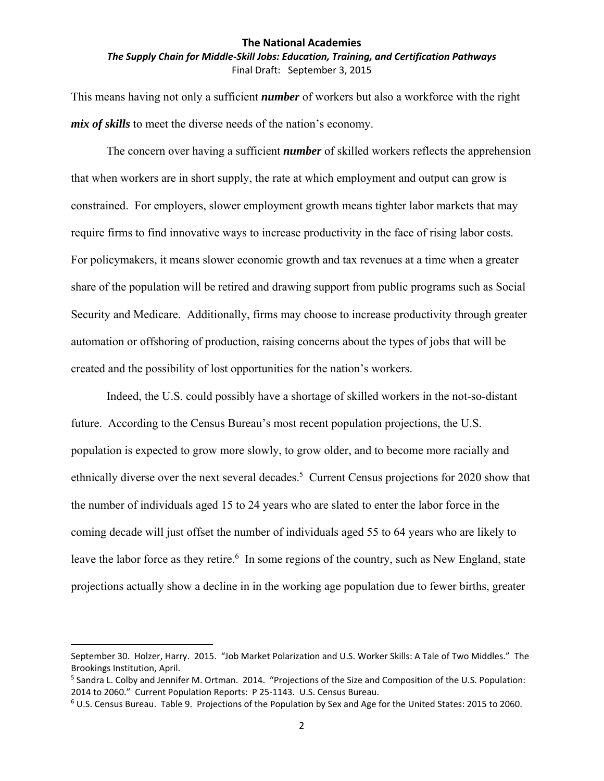## *The Supply Chain for Middle‐Skill Jobs: Education, Training, and Certification Pathways* Final Draft: September 3, 2015

This means having not only a sufficient *number* of workers but also a workforce with the right *mix of skills* to meet the diverse needs of the nation's economy.

The concern over having a sufficient *number* of skilled workers reflects the apprehension that when workers are in short supply, the rate at which employment and output can grow is constrained. For employers, slower employment growth means tighter labor markets that may require firms to find innovative ways to increase productivity in the face of rising labor costs. For policymakers, it means slower economic growth and tax revenues at a time when a greater share of the population will be retired and drawing support from public programs such as Social Security and Medicare. Additionally, firms may choose to increase productivity through greater automation or offshoring of production, raising concerns about the types of jobs that will be created and the possibility of lost opportunities for the nation's workers.

Indeed, the U.S. could possibly have a shortage of skilled workers in the not-so-distant future. According to the Census Bureau's most recent population projections, the U.S. population is expected to grow more slowly, to grow older, and to become more racially and ethnically diverse over the next several decades.<sup>5</sup> Current Census projections for 2020 show that the number of individuals aged 15 to 24 years who are slated to enter the labor force in the coming decade will just offset the number of individuals aged 55 to 64 years who are likely to leave the labor force as they retire.<sup>6</sup> In some regions of the country, such as New England, state projections actually show a decline in in the working age population due to fewer births, greater

September 30. Holzer, Harry. 2015. "Job Market Polarization and U.S. Worker Skills: A Tale of Two Middles." The Brookings Institution, April.

<sup>&</sup>lt;sup>5</sup> Sandra L. Colby and Jennifer M. Ortman. 2014. "Projections of the Size and Composition of the U.S. Population: 2014 to 2060." Current Population Reports: P 25‐1143. U.S. Census Bureau.

<sup>6</sup> U.S. Census Bureau. Table 9. Projections of the Population by Sex and Age for the United States: 2015 to 2060.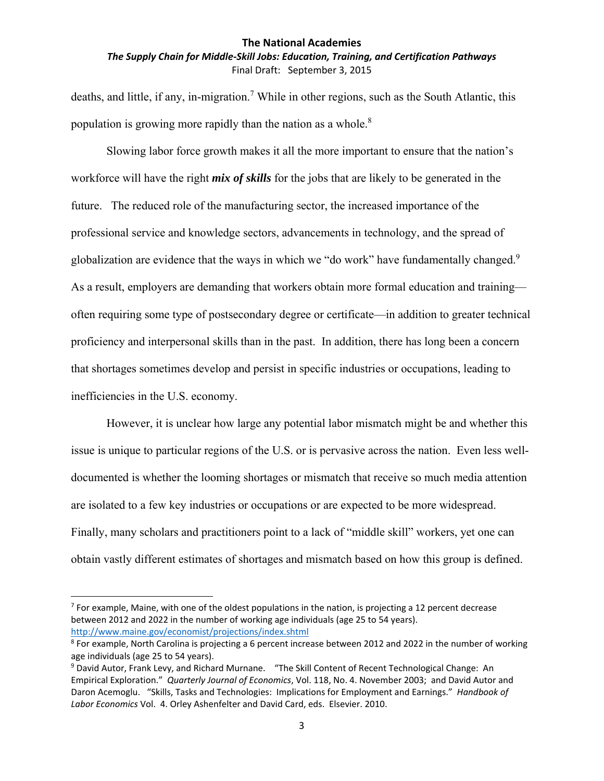## *The Supply Chain for Middle‐Skill Jobs: Education, Training, and Certification Pathways* Final Draft: September 3, 2015

deaths, and little, if any, in-migration.<sup>7</sup> While in other regions, such as the South Atlantic, this population is growing more rapidly than the nation as a whole. $8$ 

Slowing labor force growth makes it all the more important to ensure that the nation's workforce will have the right *mix of skills* for the jobs that are likely to be generated in the future. The reduced role of the manufacturing sector, the increased importance of the professional service and knowledge sectors, advancements in technology, and the spread of globalization are evidence that the ways in which we "do work" have fundamentally changed.<sup>9</sup> As a result, employers are demanding that workers obtain more formal education and training often requiring some type of postsecondary degree or certificate—in addition to greater technical proficiency and interpersonal skills than in the past. In addition, there has long been a concern that shortages sometimes develop and persist in specific industries or occupations, leading to inefficiencies in the U.S. economy.

However, it is unclear how large any potential labor mismatch might be and whether this issue is unique to particular regions of the U.S. or is pervasive across the nation. Even less welldocumented is whether the looming shortages or mismatch that receive so much media attention are isolated to a few key industries or occupations or are expected to be more widespread. Finally, many scholars and practitioners point to a lack of "middle skill" workers, yet one can obtain vastly different estimates of shortages and mismatch based on how this group is defined.

 $<sup>7</sup>$  For example, Maine, with one of the oldest populations in the nation, is projecting a 12 percent decrease</sup> between 2012 and 2022 in the number of working age individuals (age 25 to 54 years). http://www.maine.gov/economist/projections/index.shtml

<sup>&</sup>lt;sup>8</sup> For example, North Carolina is projecting a 6 percent increase between 2012 and 2022 in the number of working age individuals (age 25 to 54 years).

<sup>9</sup> David Autor, Frank Levy, and Richard Murnane. "The Skill Content of Recent Technological Change: An Empirical Exploration." *Quarterly Journal of Economics*, Vol. 118, No. 4. November 2003; and David Autor and Daron Acemoglu. "Skills, Tasks and Technologies: Implications for Employment and Earnings." *Handbook of Labor Economics* Vol. 4. Orley Ashenfelter and David Card, eds. Elsevier. 2010.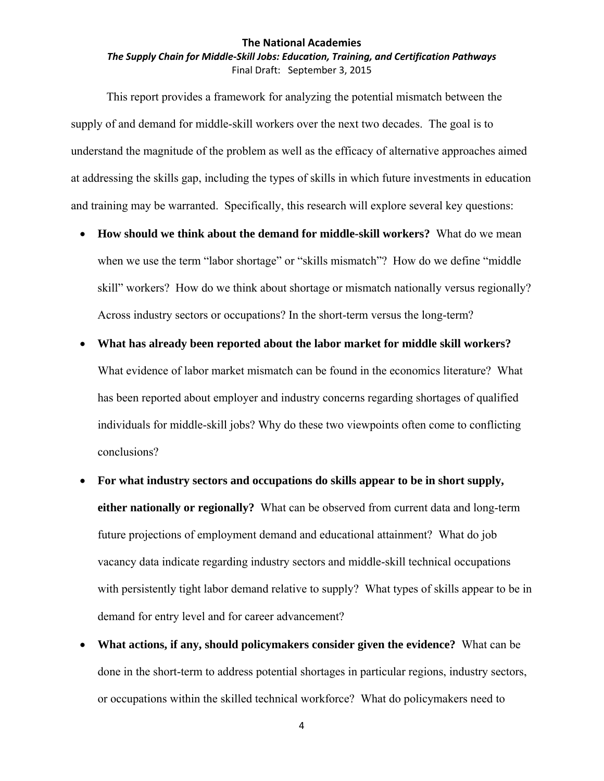## *The Supply Chain for Middle‐Skill Jobs: Education, Training, and Certification Pathways* Final Draft: September 3, 2015

This report provides a framework for analyzing the potential mismatch between the supply of and demand for middle-skill workers over the next two decades. The goal is to understand the magnitude of the problem as well as the efficacy of alternative approaches aimed at addressing the skills gap, including the types of skills in which future investments in education and training may be warranted. Specifically, this research will explore several key questions:

- **How should we think about the demand for middle-skill workers?** What do we mean when we use the term "labor shortage" or "skills mismatch"? How do we define "middle" skill" workers? How do we think about shortage or mismatch nationally versus regionally? Across industry sectors or occupations? In the short-term versus the long-term?
- **What has already been reported about the labor market for middle skill workers?** What evidence of labor market mismatch can be found in the economics literature? What has been reported about employer and industry concerns regarding shortages of qualified individuals for middle-skill jobs? Why do these two viewpoints often come to conflicting conclusions?
- **For what industry sectors and occupations do skills appear to be in short supply, either nationally or regionally?** What can be observed from current data and long-term future projections of employment demand and educational attainment? What do job vacancy data indicate regarding industry sectors and middle-skill technical occupations with persistently tight labor demand relative to supply? What types of skills appear to be in demand for entry level and for career advancement?
- **What actions, if any, should policymakers consider given the evidence?** What can be done in the short-term to address potential shortages in particular regions, industry sectors, or occupations within the skilled technical workforce? What do policymakers need to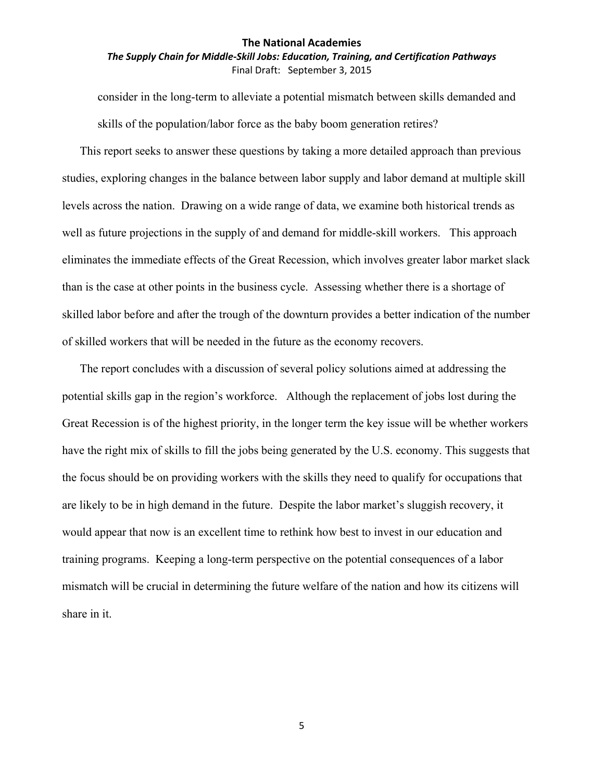## *The Supply Chain for Middle‐Skill Jobs: Education, Training, and Certification Pathways* Final Draft: September 3, 2015

consider in the long-term to alleviate a potential mismatch between skills demanded and skills of the population/labor force as the baby boom generation retires?

This report seeks to answer these questions by taking a more detailed approach than previous studies, exploring changes in the balance between labor supply and labor demand at multiple skill levels across the nation. Drawing on a wide range of data, we examine both historical trends as well as future projections in the supply of and demand for middle-skill workers. This approach eliminates the immediate effects of the Great Recession, which involves greater labor market slack than is the case at other points in the business cycle. Assessing whether there is a shortage of skilled labor before and after the trough of the downturn provides a better indication of the number of skilled workers that will be needed in the future as the economy recovers.

The report concludes with a discussion of several policy solutions aimed at addressing the potential skills gap in the region's workforce. Although the replacement of jobs lost during the Great Recession is of the highest priority, in the longer term the key issue will be whether workers have the right mix of skills to fill the jobs being generated by the U.S. economy. This suggests that the focus should be on providing workers with the skills they need to qualify for occupations that are likely to be in high demand in the future. Despite the labor market's sluggish recovery, it would appear that now is an excellent time to rethink how best to invest in our education and training programs. Keeping a long-term perspective on the potential consequences of a labor mismatch will be crucial in determining the future welfare of the nation and how its citizens will share in it.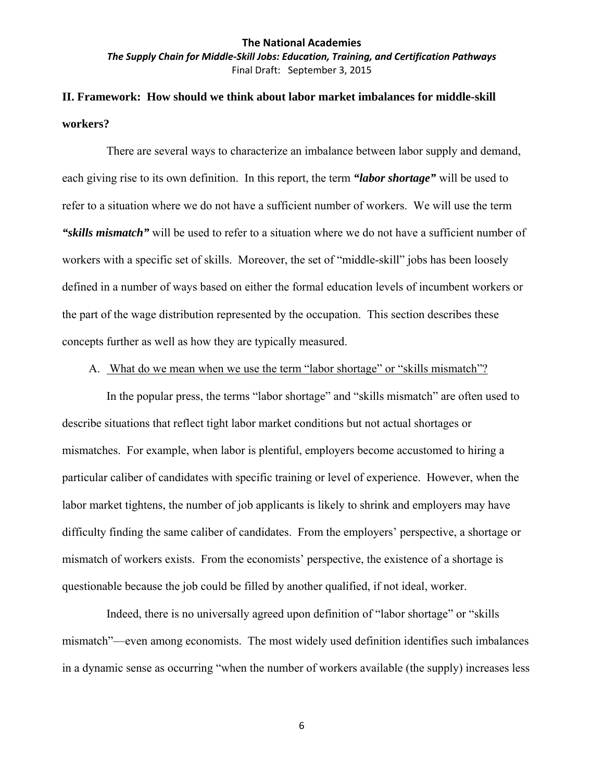*The Supply Chain for Middle‐Skill Jobs: Education, Training, and Certification Pathways* Final Draft: September 3, 2015

## **II. Framework: How should we think about labor market imbalances for middle-skill workers?**

There are several ways to characterize an imbalance between labor supply and demand, each giving rise to its own definition. In this report, the term *"labor shortage"* will be used to refer to a situation where we do not have a sufficient number of workers. We will use the term *"skills mismatch"* will be used to refer to a situation where we do not have a sufficient number of workers with a specific set of skills. Moreover, the set of "middle-skill" jobs has been loosely defined in a number of ways based on either the formal education levels of incumbent workers or the part of the wage distribution represented by the occupation. This section describes these concepts further as well as how they are typically measured.

## A. What do we mean when we use the term "labor shortage" or "skills mismatch"?

In the popular press, the terms "labor shortage" and "skills mismatch" are often used to describe situations that reflect tight labor market conditions but not actual shortages or mismatches. For example, when labor is plentiful, employers become accustomed to hiring a particular caliber of candidates with specific training or level of experience. However, when the labor market tightens, the number of job applicants is likely to shrink and employers may have difficulty finding the same caliber of candidates. From the employers' perspective, a shortage or mismatch of workers exists. From the economists' perspective, the existence of a shortage is questionable because the job could be filled by another qualified, if not ideal, worker.

Indeed, there is no universally agreed upon definition of "labor shortage" or "skills mismatch"—even among economists. The most widely used definition identifies such imbalances in a dynamic sense as occurring "when the number of workers available (the supply) increases less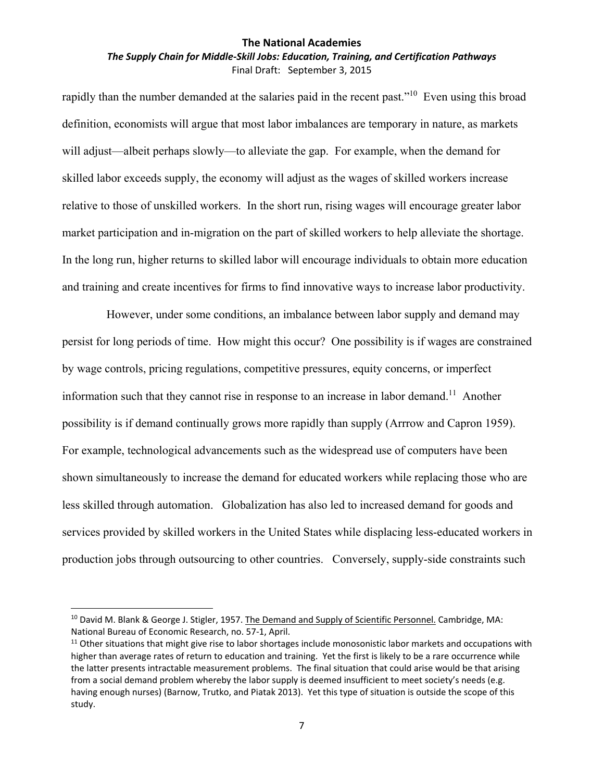#### *The Supply Chain for Middle‐Skill Jobs: Education, Training, and Certification Pathways* Final Draft: September 3, 2015

rapidly than the number demanded at the salaries paid in the recent past."<sup>10</sup> Even using this broad definition, economists will argue that most labor imbalances are temporary in nature, as markets will adjust—albeit perhaps slowly—to alleviate the gap. For example, when the demand for skilled labor exceeds supply, the economy will adjust as the wages of skilled workers increase relative to those of unskilled workers. In the short run, rising wages will encourage greater labor market participation and in-migration on the part of skilled workers to help alleviate the shortage. In the long run, higher returns to skilled labor will encourage individuals to obtain more education and training and create incentives for firms to find innovative ways to increase labor productivity.

However, under some conditions, an imbalance between labor supply and demand may persist for long periods of time. How might this occur? One possibility is if wages are constrained by wage controls, pricing regulations, competitive pressures, equity concerns, or imperfect information such that they cannot rise in response to an increase in labor demand.<sup>11</sup> Another possibility is if demand continually grows more rapidly than supply (Arrrow and Capron 1959). For example, technological advancements such as the widespread use of computers have been shown simultaneously to increase the demand for educated workers while replacing those who are less skilled through automation. Globalization has also led to increased demand for goods and services provided by skilled workers in the United States while displacing less-educated workers in production jobs through outsourcing to other countries. Conversely, supply-side constraints such

<sup>&</sup>lt;sup>10</sup> David M. Blank & George J. Stigler, 1957. The Demand and Supply of Scientific Personnel. Cambridge, MA: National Bureau of Economic Research, no. 57‐1, April.

 $11$  Other situations that might give rise to labor shortages include monosonistic labor markets and occupations with higher than average rates of return to education and training. Yet the first is likely to be a rare occurrence while the latter presents intractable measurement problems. The final situation that could arise would be that arising from a social demand problem whereby the labor supply is deemed insufficient to meet society's needs (e.g. having enough nurses) (Barnow, Trutko, and Piatak 2013). Yet this type of situation is outside the scope of this study.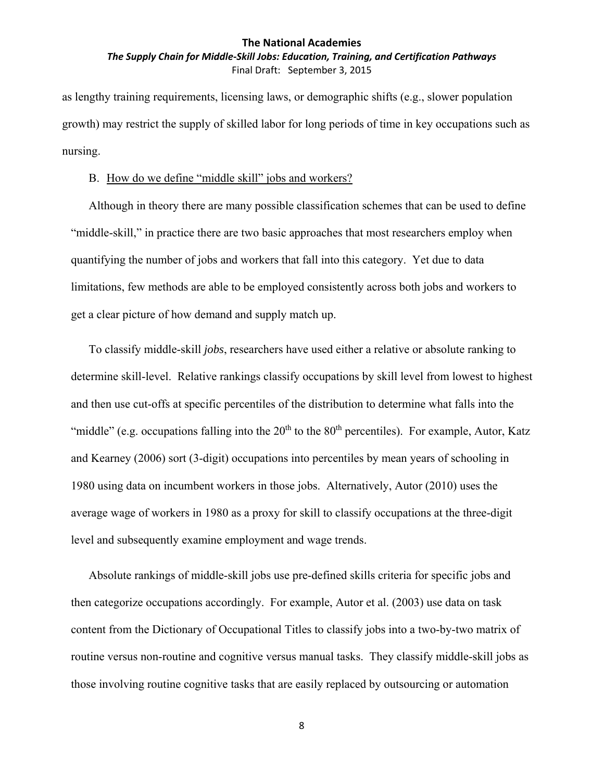### *The Supply Chain for Middle‐Skill Jobs: Education, Training, and Certification Pathways* Final Draft: September 3, 2015

as lengthy training requirements, licensing laws, or demographic shifts (e.g., slower population growth) may restrict the supply of skilled labor for long periods of time in key occupations such as nursing.

#### B. How do we define "middle skill" jobs and workers?

Although in theory there are many possible classification schemes that can be used to define "middle-skill," in practice there are two basic approaches that most researchers employ when quantifying the number of jobs and workers that fall into this category. Yet due to data limitations, few methods are able to be employed consistently across both jobs and workers to get a clear picture of how demand and supply match up.

To classify middle-skill *jobs*, researchers have used either a relative or absolute ranking to determine skill-level. Relative rankings classify occupations by skill level from lowest to highest and then use cut-offs at specific percentiles of the distribution to determine what falls into the "middle" (e.g. occupations falling into the  $20<sup>th</sup>$  to the  $80<sup>th</sup>$  percentiles). For example, Autor, Katz and Kearney (2006) sort (3-digit) occupations into percentiles by mean years of schooling in 1980 using data on incumbent workers in those jobs. Alternatively, Autor (2010) uses the average wage of workers in 1980 as a proxy for skill to classify occupations at the three-digit level and subsequently examine employment and wage trends.

Absolute rankings of middle-skill jobs use pre-defined skills criteria for specific jobs and then categorize occupations accordingly. For example, Autor et al. (2003) use data on task content from the Dictionary of Occupational Titles to classify jobs into a two-by-two matrix of routine versus non-routine and cognitive versus manual tasks. They classify middle-skill jobs as those involving routine cognitive tasks that are easily replaced by outsourcing or automation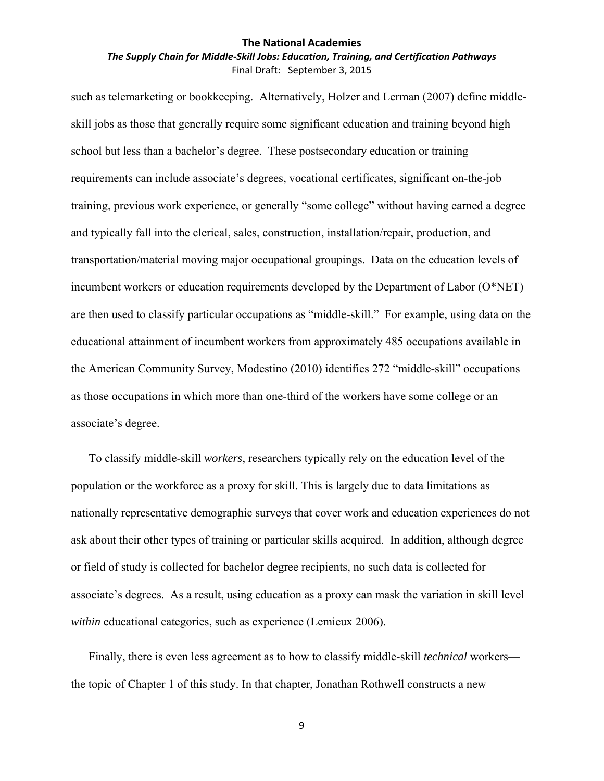### *The Supply Chain for Middle‐Skill Jobs: Education, Training, and Certification Pathways* Final Draft: September 3, 2015

such as telemarketing or bookkeeping. Alternatively, Holzer and Lerman (2007) define middleskill jobs as those that generally require some significant education and training beyond high school but less than a bachelor's degree. These postsecondary education or training requirements can include associate's degrees, vocational certificates, significant on-the-job training, previous work experience, or generally "some college" without having earned a degree and typically fall into the clerical, sales, construction, installation/repair, production, and transportation/material moving major occupational groupings. Data on the education levels of incumbent workers or education requirements developed by the Department of Labor (O\*NET) are then used to classify particular occupations as "middle-skill." For example, using data on the educational attainment of incumbent workers from approximately 485 occupations available in the American Community Survey, Modestino (2010) identifies 272 "middle-skill" occupations as those occupations in which more than one-third of the workers have some college or an associate's degree.

To classify middle-skill *workers*, researchers typically rely on the education level of the population or the workforce as a proxy for skill. This is largely due to data limitations as nationally representative demographic surveys that cover work and education experiences do not ask about their other types of training or particular skills acquired. In addition, although degree or field of study is collected for bachelor degree recipients, no such data is collected for associate's degrees. As a result, using education as a proxy can mask the variation in skill level *within* educational categories, such as experience (Lemieux 2006).

Finally, there is even less agreement as to how to classify middle-skill *technical* workers the topic of Chapter 1 of this study. In that chapter, Jonathan Rothwell constructs a new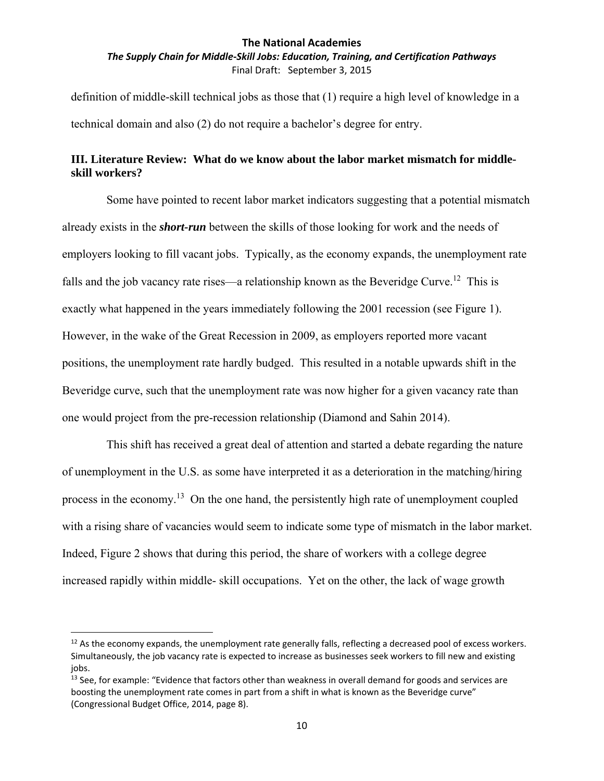*The Supply Chain for Middle‐Skill Jobs: Education, Training, and Certification Pathways* Final Draft: September 3, 2015

definition of middle-skill technical jobs as those that (1) require a high level of knowledge in a technical domain and also (2) do not require a bachelor's degree for entry.

## **III. Literature Review: What do we know about the labor market mismatch for middleskill workers?**

Some have pointed to recent labor market indicators suggesting that a potential mismatch already exists in the *short-run* between the skills of those looking for work and the needs of employers looking to fill vacant jobs. Typically, as the economy expands, the unemployment rate falls and the job vacancy rate rises—a relationship known as the Beveridge Curve.<sup>12</sup> This is exactly what happened in the years immediately following the 2001 recession (see Figure 1). However, in the wake of the Great Recession in 2009, as employers reported more vacant positions, the unemployment rate hardly budged. This resulted in a notable upwards shift in the Beveridge curve, such that the unemployment rate was now higher for a given vacancy rate than one would project from the pre-recession relationship (Diamond and Sahin 2014).

This shift has received a great deal of attention and started a debate regarding the nature of unemployment in the U.S. as some have interpreted it as a deterioration in the matching/hiring process in the economy.<sup>13</sup> On the one hand, the persistently high rate of unemployment coupled with a rising share of vacancies would seem to indicate some type of mismatch in the labor market. Indeed, Figure 2 shows that during this period, the share of workers with a college degree increased rapidly within middle- skill occupations. Yet on the other, the lack of wage growth

 $12$  As the economy expands, the unemployment rate generally falls, reflecting a decreased pool of excess workers. Simultaneously, the job vacancy rate is expected to increase as businesses seek workers to fill new and existing jobs.

 $13$  See, for example: "Evidence that factors other than weakness in overall demand for goods and services are boosting the unemployment rate comes in part from a shift in what is known as the Beveridge curve" (Congressional Budget Office, 2014, page 8).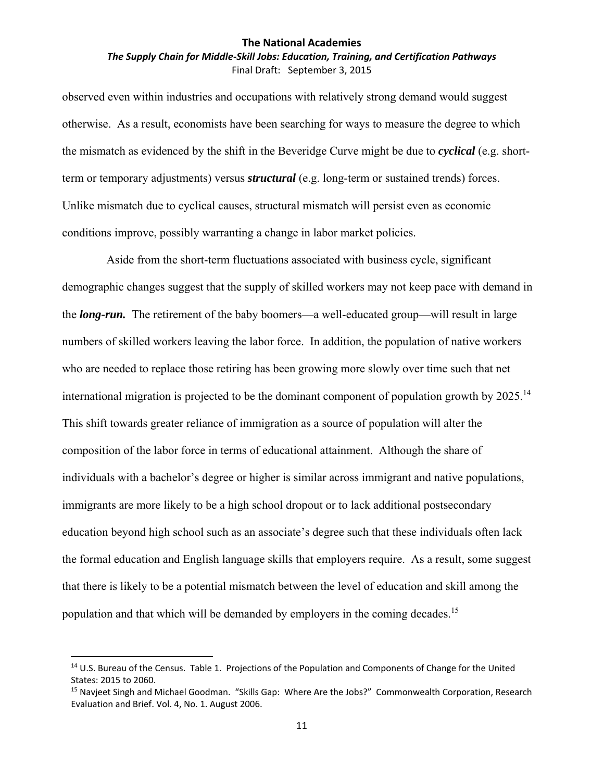## *The Supply Chain for Middle‐Skill Jobs: Education, Training, and Certification Pathways* Final Draft: September 3, 2015

observed even within industries and occupations with relatively strong demand would suggest otherwise. As a result, economists have been searching for ways to measure the degree to which the mismatch as evidenced by the shift in the Beveridge Curve might be due to *cyclical* (e.g. shortterm or temporary adjustments) versus *structural* (e.g. long-term or sustained trends) forces. Unlike mismatch due to cyclical causes, structural mismatch will persist even as economic conditions improve, possibly warranting a change in labor market policies.

Aside from the short-term fluctuations associated with business cycle, significant demographic changes suggest that the supply of skilled workers may not keep pace with demand in the *long-run.* The retirement of the baby boomers—a well-educated group—will result in large numbers of skilled workers leaving the labor force. In addition, the population of native workers who are needed to replace those retiring has been growing more slowly over time such that net international migration is projected to be the dominant component of population growth by  $2025$ .<sup>14</sup> This shift towards greater reliance of immigration as a source of population will alter the composition of the labor force in terms of educational attainment. Although the share of individuals with a bachelor's degree or higher is similar across immigrant and native populations, immigrants are more likely to be a high school dropout or to lack additional postsecondary education beyond high school such as an associate's degree such that these individuals often lack the formal education and English language skills that employers require. As a result, some suggest that there is likely to be a potential mismatch between the level of education and skill among the population and that which will be demanded by employers in the coming decades.<sup>15</sup>

<sup>&</sup>lt;sup>14</sup> U.S. Bureau of the Census. Table 1. Projections of the Population and Components of Change for the United States: 2015 to 2060.

<sup>15</sup> Navjeet Singh and Michael Goodman. "Skills Gap: Where Are the Jobs?" Commonwealth Corporation, Research Evaluation and Brief. Vol. 4, No. 1. August 2006.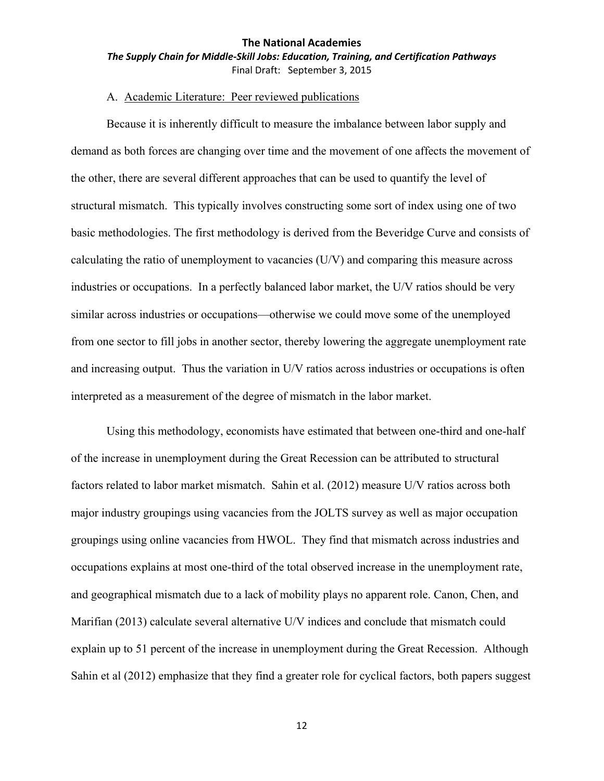## **The National Academies** *The Supply Chain for Middle‐Skill Jobs: Education, Training, and Certification Pathways* Final Draft: September 3, 2015

## A. Academic Literature: Peer reviewed publications

Because it is inherently difficult to measure the imbalance between labor supply and demand as both forces are changing over time and the movement of one affects the movement of the other, there are several different approaches that can be used to quantify the level of structural mismatch. This typically involves constructing some sort of index using one of two basic methodologies. The first methodology is derived from the Beveridge Curve and consists of calculating the ratio of unemployment to vacancies (U/V) and comparing this measure across industries or occupations. In a perfectly balanced labor market, the U/V ratios should be very similar across industries or occupations—otherwise we could move some of the unemployed from one sector to fill jobs in another sector, thereby lowering the aggregate unemployment rate and increasing output. Thus the variation in U/V ratios across industries or occupations is often interpreted as a measurement of the degree of mismatch in the labor market.

Using this methodology, economists have estimated that between one-third and one-half of the increase in unemployment during the Great Recession can be attributed to structural factors related to labor market mismatch. Sahin et al. (2012) measure U/V ratios across both major industry groupings using vacancies from the JOLTS survey as well as major occupation groupings using online vacancies from HWOL. They find that mismatch across industries and occupations explains at most one-third of the total observed increase in the unemployment rate, and geographical mismatch due to a lack of mobility plays no apparent role. Canon, Chen, and Marifian (2013) calculate several alternative U/V indices and conclude that mismatch could explain up to 51 percent of the increase in unemployment during the Great Recession. Although Sahin et al (2012) emphasize that they find a greater role for cyclical factors, both papers suggest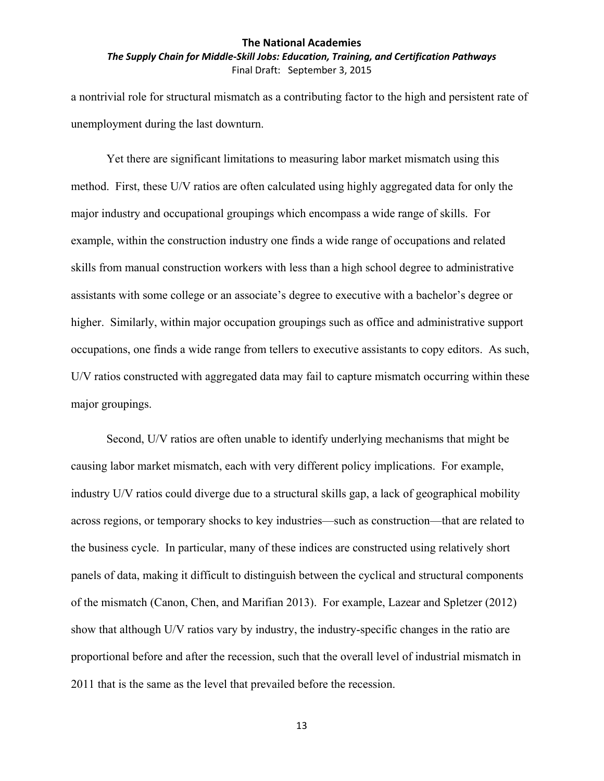## *The Supply Chain for Middle‐Skill Jobs: Education, Training, and Certification Pathways* Final Draft: September 3, 2015

a nontrivial role for structural mismatch as a contributing factor to the high and persistent rate of unemployment during the last downturn.

Yet there are significant limitations to measuring labor market mismatch using this method. First, these U/V ratios are often calculated using highly aggregated data for only the major industry and occupational groupings which encompass a wide range of skills. For example, within the construction industry one finds a wide range of occupations and related skills from manual construction workers with less than a high school degree to administrative assistants with some college or an associate's degree to executive with a bachelor's degree or higher. Similarly, within major occupation groupings such as office and administrative support occupations, one finds a wide range from tellers to executive assistants to copy editors. As such, U/V ratios constructed with aggregated data may fail to capture mismatch occurring within these major groupings.

Second, U/V ratios are often unable to identify underlying mechanisms that might be causing labor market mismatch, each with very different policy implications. For example, industry U/V ratios could diverge due to a structural skills gap, a lack of geographical mobility across regions, or temporary shocks to key industries—such as construction—that are related to the business cycle. In particular, many of these indices are constructed using relatively short panels of data, making it difficult to distinguish between the cyclical and structural components of the mismatch (Canon, Chen, and Marifian 2013). For example, Lazear and Spletzer (2012) show that although U/V ratios vary by industry, the industry-specific changes in the ratio are proportional before and after the recession, such that the overall level of industrial mismatch in 2011 that is the same as the level that prevailed before the recession.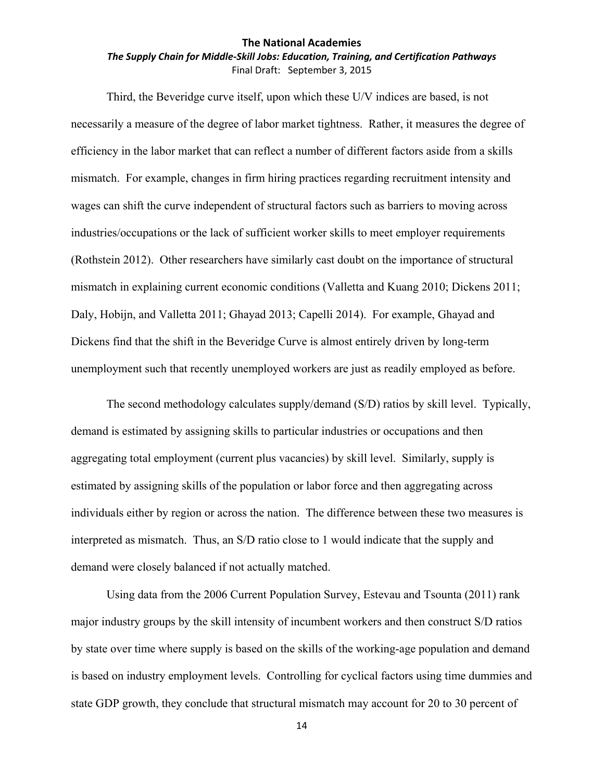## *The Supply Chain for Middle‐Skill Jobs: Education, Training, and Certification Pathways* Final Draft: September 3, 2015

Third, the Beveridge curve itself, upon which these U/V indices are based, is not necessarily a measure of the degree of labor market tightness. Rather, it measures the degree of efficiency in the labor market that can reflect a number of different factors aside from a skills mismatch. For example, changes in firm hiring practices regarding recruitment intensity and wages can shift the curve independent of structural factors such as barriers to moving across industries/occupations or the lack of sufficient worker skills to meet employer requirements (Rothstein 2012). Other researchers have similarly cast doubt on the importance of structural mismatch in explaining current economic conditions (Valletta and Kuang 2010; Dickens 2011; Daly, Hobijn, and Valletta 2011; Ghayad 2013; Capelli 2014). For example, Ghayad and Dickens find that the shift in the Beveridge Curve is almost entirely driven by long-term unemployment such that recently unemployed workers are just as readily employed as before.

The second methodology calculates supply/demand (S/D) ratios by skill level. Typically, demand is estimated by assigning skills to particular industries or occupations and then aggregating total employment (current plus vacancies) by skill level. Similarly, supply is estimated by assigning skills of the population or labor force and then aggregating across individuals either by region or across the nation. The difference between these two measures is interpreted as mismatch. Thus, an S/D ratio close to 1 would indicate that the supply and demand were closely balanced if not actually matched.

Using data from the 2006 Current Population Survey, Estevau and Tsounta (2011) rank major industry groups by the skill intensity of incumbent workers and then construct S/D ratios by state over time where supply is based on the skills of the working-age population and demand is based on industry employment levels. Controlling for cyclical factors using time dummies and state GDP growth, they conclude that structural mismatch may account for 20 to 30 percent of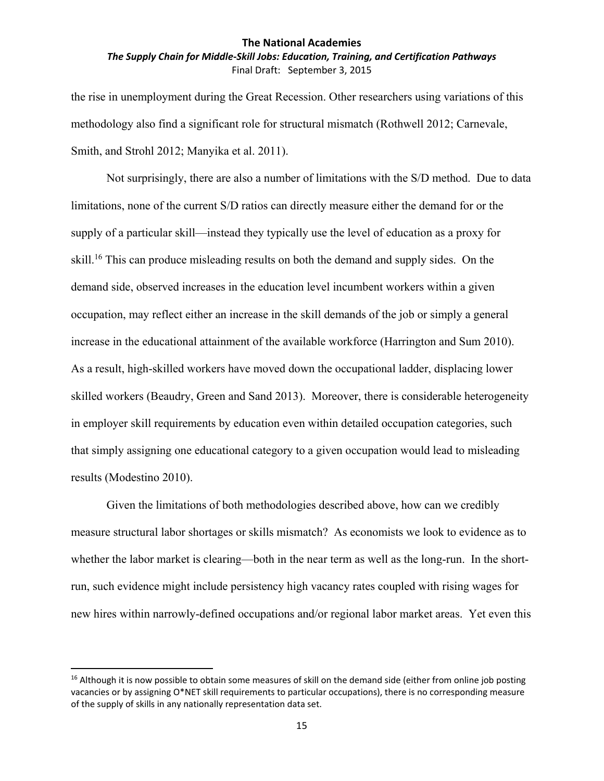*The Supply Chain for Middle‐Skill Jobs: Education, Training, and Certification Pathways* Final Draft: September 3, 2015

the rise in unemployment during the Great Recession. Other researchers using variations of this methodology also find a significant role for structural mismatch (Rothwell 2012; Carnevale, Smith, and Strohl 2012; Manyika et al. 2011).

Not surprisingly, there are also a number of limitations with the S/D method. Due to data limitations, none of the current S/D ratios can directly measure either the demand for or the supply of a particular skill—instead they typically use the level of education as a proxy for skill.<sup>16</sup> This can produce misleading results on both the demand and supply sides. On the demand side, observed increases in the education level incumbent workers within a given occupation, may reflect either an increase in the skill demands of the job or simply a general increase in the educational attainment of the available workforce (Harrington and Sum 2010). As a result, high-skilled workers have moved down the occupational ladder, displacing lower skilled workers (Beaudry, Green and Sand 2013). Moreover, there is considerable heterogeneity in employer skill requirements by education even within detailed occupation categories, such that simply assigning one educational category to a given occupation would lead to misleading results (Modestino 2010).

Given the limitations of both methodologies described above, how can we credibly measure structural labor shortages or skills mismatch? As economists we look to evidence as to whether the labor market is clearing—both in the near term as well as the long-run. In the shortrun, such evidence might include persistency high vacancy rates coupled with rising wages for new hires within narrowly-defined occupations and/or regional labor market areas. Yet even this

 $16$  Although it is now possible to obtain some measures of skill on the demand side (either from online job posting vacancies or by assigning O\*NET skill requirements to particular occupations), there is no corresponding measure of the supply of skills in any nationally representation data set.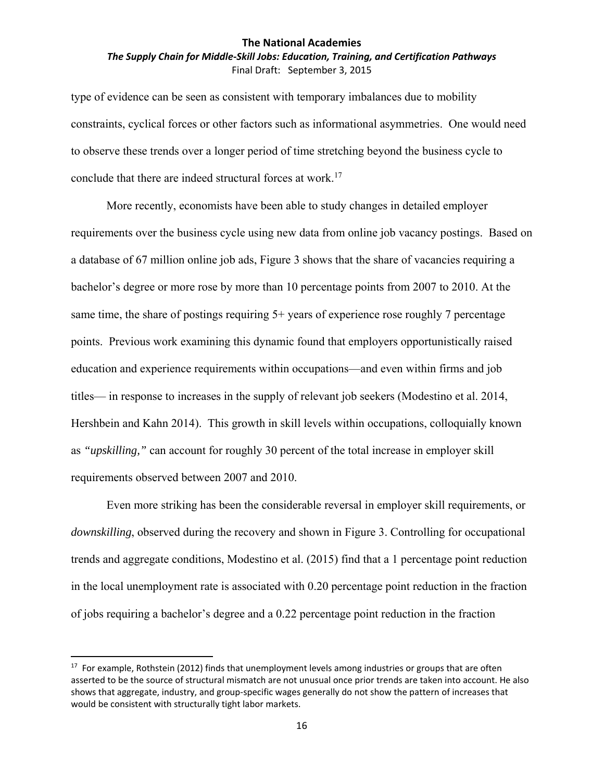## *The Supply Chain for Middle‐Skill Jobs: Education, Training, and Certification Pathways* Final Draft: September 3, 2015

type of evidence can be seen as consistent with temporary imbalances due to mobility constraints, cyclical forces or other factors such as informational asymmetries. One would need to observe these trends over a longer period of time stretching beyond the business cycle to conclude that there are indeed structural forces at work.<sup>17</sup>

More recently, economists have been able to study changes in detailed employer requirements over the business cycle using new data from online job vacancy postings. Based on a database of 67 million online job ads, Figure 3 shows that the share of vacancies requiring a bachelor's degree or more rose by more than 10 percentage points from 2007 to 2010. At the same time, the share of postings requiring 5+ years of experience rose roughly 7 percentage points. Previous work examining this dynamic found that employers opportunistically raised education and experience requirements within occupations—and even within firms and job titles— in response to increases in the supply of relevant job seekers (Modestino et al. 2014, Hershbein and Kahn 2014). This growth in skill levels within occupations, colloquially known as *"upskilling,"* can account for roughly 30 percent of the total increase in employer skill requirements observed between 2007 and 2010.

Even more striking has been the considerable reversal in employer skill requirements, or *downskilling*, observed during the recovery and shown in Figure 3. Controlling for occupational trends and aggregate conditions, Modestino et al. (2015) find that a 1 percentage point reduction in the local unemployment rate is associated with 0.20 percentage point reduction in the fraction of jobs requiring a bachelor's degree and a 0.22 percentage point reduction in the fraction

<sup>&</sup>lt;sup>17</sup> For example, Rothstein (2012) finds that unemployment levels among industries or groups that are often asserted to be the source of structural mismatch are not unusual once prior trends are taken into account. He also shows that aggregate, industry, and group‐specific wages generally do not show the pattern of increases that would be consistent with structurally tight labor markets.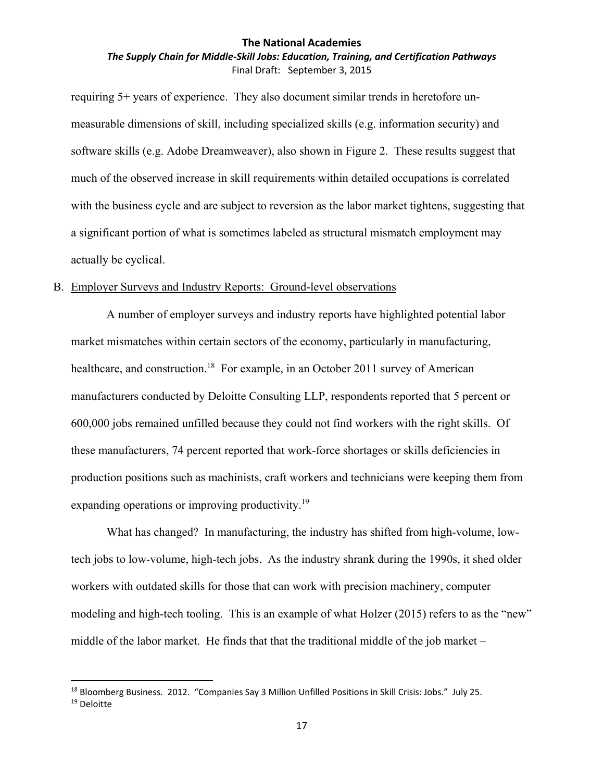## *The Supply Chain for Middle‐Skill Jobs: Education, Training, and Certification Pathways* Final Draft: September 3, 2015

requiring 5+ years of experience. They also document similar trends in heretofore unmeasurable dimensions of skill, including specialized skills (e.g. information security) and software skills (e.g. Adobe Dreamweaver), also shown in Figure 2. These results suggest that much of the observed increase in skill requirements within detailed occupations is correlated with the business cycle and are subject to reversion as the labor market tightens, suggesting that a significant portion of what is sometimes labeled as structural mismatch employment may actually be cyclical.

## B. Employer Surveys and Industry Reports: Ground-level observations

A number of employer surveys and industry reports have highlighted potential labor market mismatches within certain sectors of the economy, particularly in manufacturing, healthcare, and construction.<sup>18</sup> For example, in an October 2011 survey of American manufacturers conducted by Deloitte Consulting LLP, respondents reported that 5 percent or 600,000 jobs remained unfilled because they could not find workers with the right skills. Of these manufacturers, 74 percent reported that work-force shortages or skills deficiencies in production positions such as machinists, craft workers and technicians were keeping them from expanding operations or improving productivity.<sup>19</sup>

What has changed? In manufacturing, the industry has shifted from high-volume, lowtech jobs to low-volume, high-tech jobs. As the industry shrank during the 1990s, it shed older workers with outdated skills for those that can work with precision machinery, computer modeling and high-tech tooling. This is an example of what Holzer (2015) refers to as the "new" middle of the labor market. He finds that that the traditional middle of the job market –

<sup>&</sup>lt;sup>18</sup> Bloomberg Business. 2012. "Companies Say 3 Million Unfilled Positions in Skill Crisis: Jobs." July 25. <sup>19</sup> Deloitte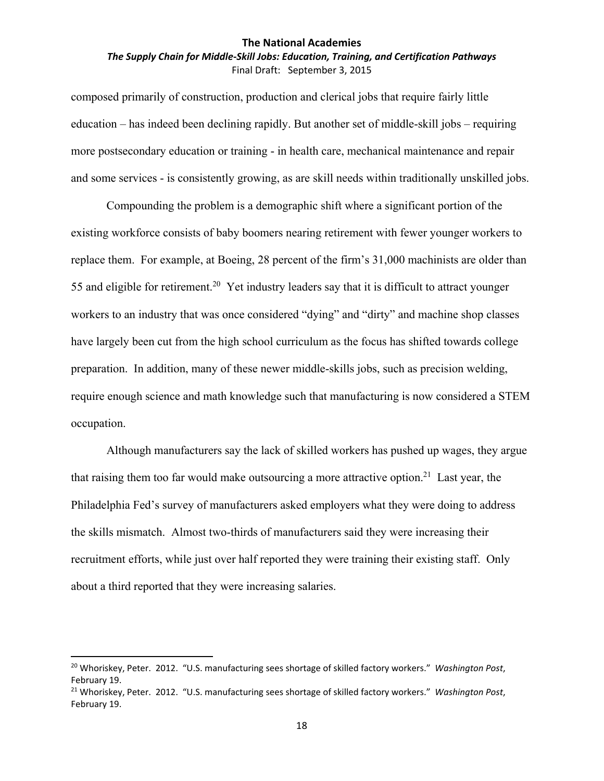## *The Supply Chain for Middle‐Skill Jobs: Education, Training, and Certification Pathways* Final Draft: September 3, 2015

composed primarily of construction, production and clerical jobs that require fairly little education – has indeed been declining rapidly. But another set of middle-skill jobs – requiring more postsecondary education or training - in health care, mechanical maintenance and repair and some services - is consistently growing, as are skill needs within traditionally unskilled jobs.

Compounding the problem is a demographic shift where a significant portion of the existing workforce consists of baby boomers nearing retirement with fewer younger workers to replace them. For example, at Boeing, 28 percent of the firm's 31,000 machinists are older than 55 and eligible for retirement.<sup>20</sup> Yet industry leaders say that it is difficult to attract younger workers to an industry that was once considered "dying" and "dirty" and machine shop classes have largely been cut from the high school curriculum as the focus has shifted towards college preparation. In addition, many of these newer middle-skills jobs, such as precision welding, require enough science and math knowledge such that manufacturing is now considered a STEM occupation.

Although manufacturers say the lack of skilled workers has pushed up wages, they argue that raising them too far would make outsourcing a more attractive option.<sup>21</sup> Last year, the Philadelphia Fed's survey of manufacturers asked employers what they were doing to address the skills mismatch. Almost two-thirds of manufacturers said they were increasing their recruitment efforts, while just over half reported they were training their existing staff. Only about a third reported that they were increasing salaries.

<sup>20</sup> Whoriskey, Peter. 2012. "U.S. manufacturing sees shortage of skilled factory workers." *Washington Post*, February 19.

<sup>21</sup> Whoriskey, Peter. 2012. "U.S. manufacturing sees shortage of skilled factory workers." *Washington Post*, February 19.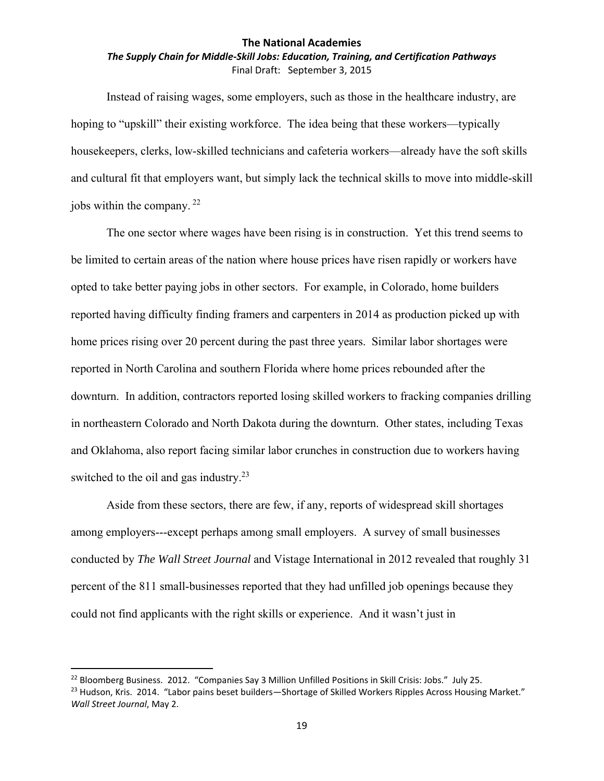## *The Supply Chain for Middle‐Skill Jobs: Education, Training, and Certification Pathways* Final Draft: September 3, 2015

Instead of raising wages, some employers, such as those in the healthcare industry, are hoping to "upskill" their existing workforce. The idea being that these workers—typically housekeepers, clerks, low-skilled technicians and cafeteria workers—already have the soft skills and cultural fit that employers want, but simply lack the technical skills to move into middle-skill jobs within the company. 22

The one sector where wages have been rising is in construction. Yet this trend seems to be limited to certain areas of the nation where house prices have risen rapidly or workers have opted to take better paying jobs in other sectors. For example, in Colorado, home builders reported having difficulty finding framers and carpenters in 2014 as production picked up with home prices rising over 20 percent during the past three years. Similar labor shortages were reported in North Carolina and southern Florida where home prices rebounded after the downturn. In addition, contractors reported losing skilled workers to fracking companies drilling in northeastern Colorado and North Dakota during the downturn. Other states, including Texas and Oklahoma, also report facing similar labor crunches in construction due to workers having switched to the oil and gas industry. $2<sup>3</sup>$ 

Aside from these sectors, there are few, if any, reports of widespread skill shortages among employers---except perhaps among small employers. A survey of small businesses conducted by *The Wall Street Journal* and Vistage International in 2012 revealed that roughly 31 percent of the 811 small-businesses reported that they had unfilled job openings because they could not find applicants with the right skills or experience. And it wasn't just in

<sup>&</sup>lt;sup>22</sup> Bloomberg Business. 2012. "Companies Say 3 Million Unfilled Positions in Skill Crisis: Jobs." July 25.

<sup>&</sup>lt;sup>23</sup> Hudson, Kris. 2014. "Labor pains beset builders—Shortage of Skilled Workers Ripples Across Housing Market." *Wall Street Journal*, May 2.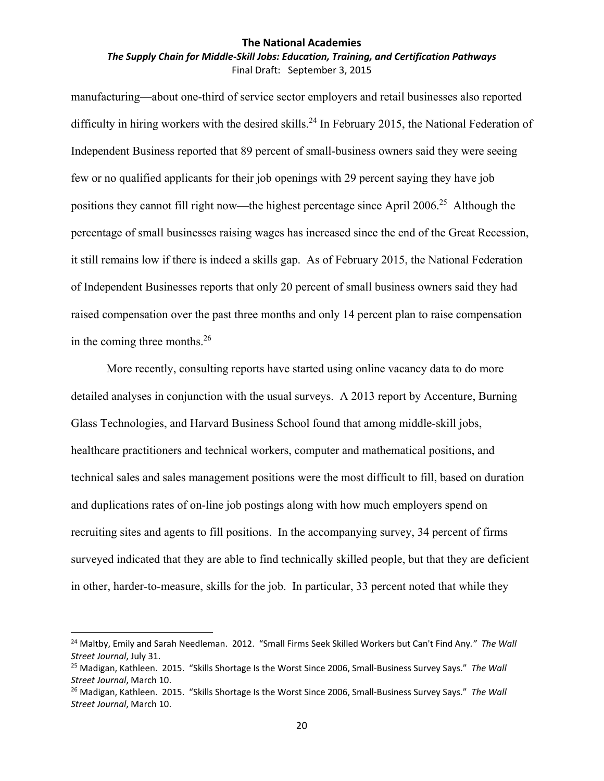### *The Supply Chain for Middle‐Skill Jobs: Education, Training, and Certification Pathways* Final Draft: September 3, 2015

manufacturing—about one-third of service sector employers and retail businesses also reported difficulty in hiring workers with the desired skills.<sup>24</sup> In February 2015, the National Federation of Independent Business reported that 89 percent of small-business owners said they were seeing few or no qualified applicants for their job openings with 29 percent saying they have job positions they cannot fill right now—the highest percentage since April 2006.<sup>25</sup> Although the percentage of small businesses raising wages has increased since the end of the Great Recession, it still remains low if there is indeed a skills gap. As of February 2015, the National Federation of Independent Businesses reports that only 20 percent of small business owners said they had raised compensation over the past three months and only 14 percent plan to raise compensation in the coming three months.26

More recently, consulting reports have started using online vacancy data to do more detailed analyses in conjunction with the usual surveys. A 2013 report by Accenture, Burning Glass Technologies, and Harvard Business School found that among middle-skill jobs, healthcare practitioners and technical workers, computer and mathematical positions, and technical sales and sales management positions were the most difficult to fill, based on duration and duplications rates of on-line job postings along with how much employers spend on recruiting sites and agents to fill positions. In the accompanying survey, 34 percent of firms surveyed indicated that they are able to find technically skilled people, but that they are deficient in other, harder-to-measure, skills for the job. In particular, 33 percent noted that while they

<sup>24</sup> Maltby, Emily and Sarah Needleman. 2012. "Small Firms Seek Skilled Workers but Can't Find Any*." The Wall Street Journal*, July 31.

<sup>25</sup> Madigan, Kathleen. 2015. "Skills Shortage Is the Worst Since 2006, Small‐Business Survey Says." *The Wall Street Journal*, March 10.

<sup>26</sup> Madigan, Kathleen. 2015. "Skills Shortage Is the Worst Since 2006, Small‐Business Survey Says." *The Wall Street Journal*, March 10.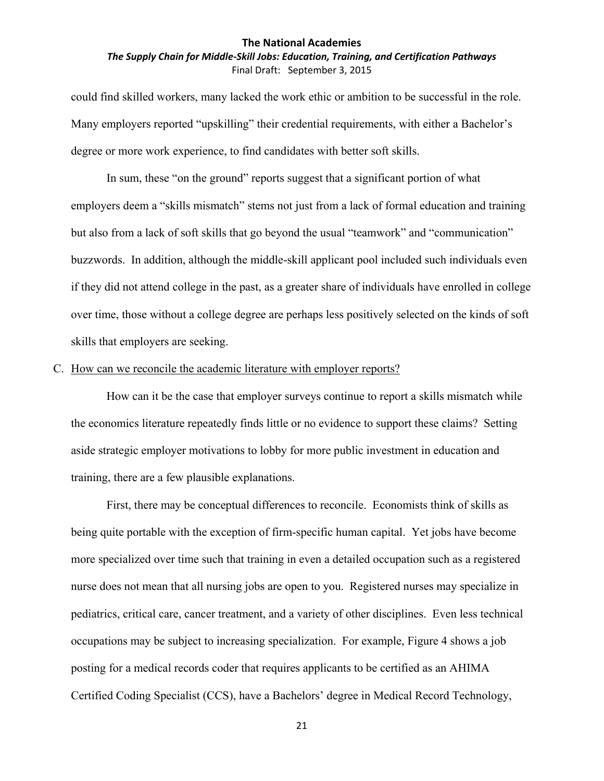## *The Supply Chain for Middle‐Skill Jobs: Education, Training, and Certification Pathways* Final Draft: September 3, 2015

could find skilled workers, many lacked the work ethic or ambition to be successful in the role. Many employers reported "upskilling" their credential requirements, with either a Bachelor's degree or more work experience, to find candidates with better soft skills.

In sum, these "on the ground" reports suggest that a significant portion of what employers deem a "skills mismatch" stems not just from a lack of formal education and training but also from a lack of soft skills that go beyond the usual "teamwork" and "communication" buzzwords. In addition, although the middle-skill applicant pool included such individuals even if they did not attend college in the past, as a greater share of individuals have enrolled in college over time, those without a college degree are perhaps less positively selected on the kinds of soft skills that employers are seeking.

#### C. How can we reconcile the academic literature with employer reports?

How can it be the case that employer surveys continue to report a skills mismatch while the economics literature repeatedly finds little or no evidence to support these claims? Setting aside strategic employer motivations to lobby for more public investment in education and training, there are a few plausible explanations.

First, there may be conceptual differences to reconcile. Economists think of skills as being quite portable with the exception of firm-specific human capital. Yet jobs have become more specialized over time such that training in even a detailed occupation such as a registered nurse does not mean that all nursing jobs are open to you. Registered nurses may specialize in pediatrics, critical care, cancer treatment, and a variety of other disciplines. Even less technical occupations may be subject to increasing specialization. For example, Figure 4 shows a job posting for a medical records coder that requires applicants to be certified as an AHIMA Certified Coding Specialist (CCS), have a Bachelors' degree in Medical Record Technology,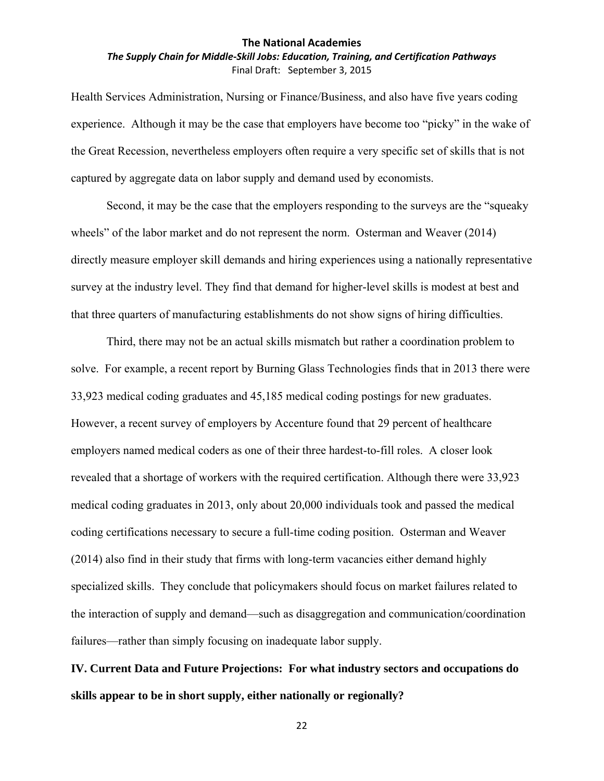## *The Supply Chain for Middle‐Skill Jobs: Education, Training, and Certification Pathways* Final Draft: September 3, 2015

Health Services Administration, Nursing or Finance/Business, and also have five years coding experience. Although it may be the case that employers have become too "picky" in the wake of the Great Recession, nevertheless employers often require a very specific set of skills that is not captured by aggregate data on labor supply and demand used by economists.

Second, it may be the case that the employers responding to the surveys are the "squeaky wheels" of the labor market and do not represent the norm. Osterman and Weaver (2014) directly measure employer skill demands and hiring experiences using a nationally representative survey at the industry level. They find that demand for higher-level skills is modest at best and that three quarters of manufacturing establishments do not show signs of hiring difficulties.

Third, there may not be an actual skills mismatch but rather a coordination problem to solve. For example, a recent report by Burning Glass Technologies finds that in 2013 there were 33,923 medical coding graduates and 45,185 medical coding postings for new graduates. However, a recent survey of employers by Accenture found that 29 percent of healthcare employers named medical coders as one of their three hardest-to-fill roles. A closer look revealed that a shortage of workers with the required certification. Although there were 33,923 medical coding graduates in 2013, only about 20,000 individuals took and passed the medical coding certifications necessary to secure a full-time coding position. Osterman and Weaver (2014) also find in their study that firms with long-term vacancies either demand highly specialized skills. They conclude that policymakers should focus on market failures related to the interaction of supply and demand—such as disaggregation and communication/coordination failures—rather than simply focusing on inadequate labor supply.

**IV. Current Data and Future Projections: For what industry sectors and occupations do skills appear to be in short supply, either nationally or regionally?**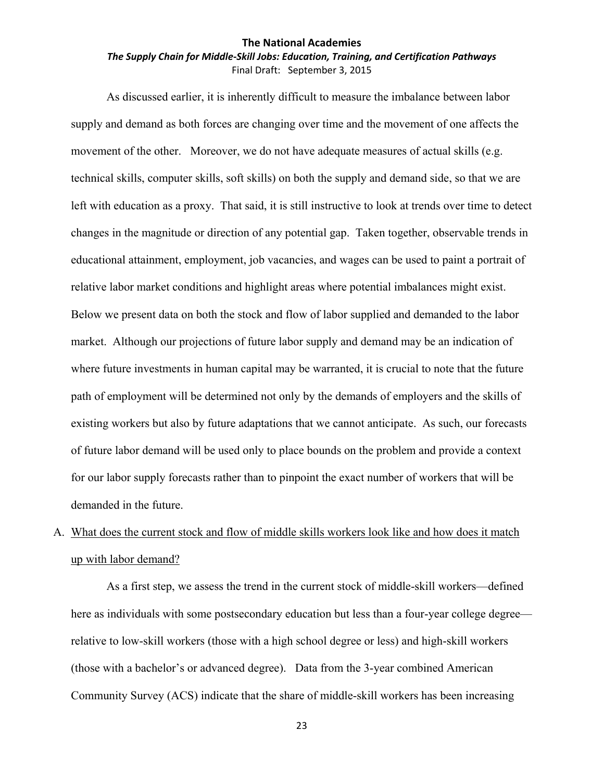### *The Supply Chain for Middle‐Skill Jobs: Education, Training, and Certification Pathways* Final Draft: September 3, 2015

As discussed earlier, it is inherently difficult to measure the imbalance between labor supply and demand as both forces are changing over time and the movement of one affects the movement of the other. Moreover, we do not have adequate measures of actual skills (e.g. technical skills, computer skills, soft skills) on both the supply and demand side, so that we are left with education as a proxy. That said, it is still instructive to look at trends over time to detect changes in the magnitude or direction of any potential gap. Taken together, observable trends in educational attainment, employment, job vacancies, and wages can be used to paint a portrait of relative labor market conditions and highlight areas where potential imbalances might exist. Below we present data on both the stock and flow of labor supplied and demanded to the labor market. Although our projections of future labor supply and demand may be an indication of where future investments in human capital may be warranted, it is crucial to note that the future path of employment will be determined not only by the demands of employers and the skills of existing workers but also by future adaptations that we cannot anticipate. As such, our forecasts of future labor demand will be used only to place bounds on the problem and provide a context for our labor supply forecasts rather than to pinpoint the exact number of workers that will be demanded in the future.

# A. What does the current stock and flow of middle skills workers look like and how does it match up with labor demand?

As a first step, we assess the trend in the current stock of middle-skill workers—defined here as individuals with some postsecondary education but less than a four-year college degree relative to low-skill workers (those with a high school degree or less) and high-skill workers (those with a bachelor's or advanced degree). Data from the 3-year combined American Community Survey (ACS) indicate that the share of middle-skill workers has been increasing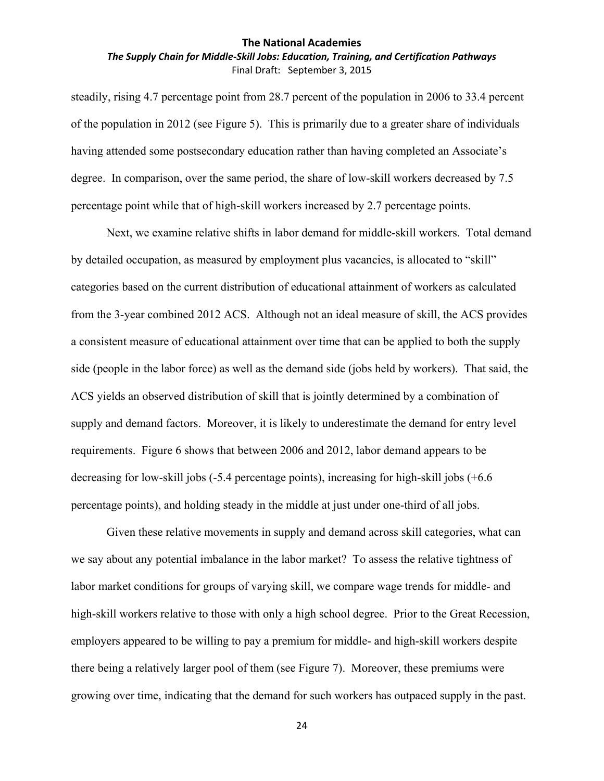## *The Supply Chain for Middle‐Skill Jobs: Education, Training, and Certification Pathways* Final Draft: September 3, 2015

steadily, rising 4.7 percentage point from 28.7 percent of the population in 2006 to 33.4 percent of the population in 2012 (see Figure 5). This is primarily due to a greater share of individuals having attended some postsecondary education rather than having completed an Associate's degree. In comparison, over the same period, the share of low-skill workers decreased by 7.5 percentage point while that of high-skill workers increased by 2.7 percentage points.

Next, we examine relative shifts in labor demand for middle-skill workers. Total demand by detailed occupation, as measured by employment plus vacancies, is allocated to "skill" categories based on the current distribution of educational attainment of workers as calculated from the 3-year combined 2012 ACS. Although not an ideal measure of skill, the ACS provides a consistent measure of educational attainment over time that can be applied to both the supply side (people in the labor force) as well as the demand side (jobs held by workers). That said, the ACS yields an observed distribution of skill that is jointly determined by a combination of supply and demand factors. Moreover, it is likely to underestimate the demand for entry level requirements. Figure 6 shows that between 2006 and 2012, labor demand appears to be decreasing for low-skill jobs (-5.4 percentage points), increasing for high-skill jobs (+6.6 percentage points), and holding steady in the middle at just under one-third of all jobs.

Given these relative movements in supply and demand across skill categories, what can we say about any potential imbalance in the labor market? To assess the relative tightness of labor market conditions for groups of varying skill, we compare wage trends for middle- and high-skill workers relative to those with only a high school degree. Prior to the Great Recession, employers appeared to be willing to pay a premium for middle- and high-skill workers despite there being a relatively larger pool of them (see Figure 7). Moreover, these premiums were growing over time, indicating that the demand for such workers has outpaced supply in the past.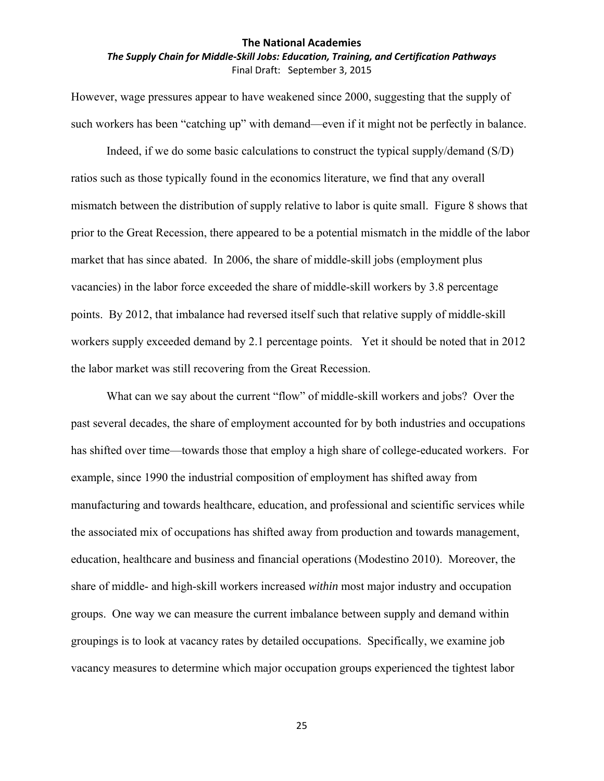## *The Supply Chain for Middle‐Skill Jobs: Education, Training, and Certification Pathways* Final Draft: September 3, 2015

However, wage pressures appear to have weakened since 2000, suggesting that the supply of such workers has been "catching up" with demand—even if it might not be perfectly in balance.

Indeed, if we do some basic calculations to construct the typical supply/demand (S/D) ratios such as those typically found in the economics literature, we find that any overall mismatch between the distribution of supply relative to labor is quite small. Figure 8 shows that prior to the Great Recession, there appeared to be a potential mismatch in the middle of the labor market that has since abated. In 2006, the share of middle-skill jobs (employment plus vacancies) in the labor force exceeded the share of middle-skill workers by 3.8 percentage points. By 2012, that imbalance had reversed itself such that relative supply of middle-skill workers supply exceeded demand by 2.1 percentage points. Yet it should be noted that in 2012 the labor market was still recovering from the Great Recession.

What can we say about the current "flow" of middle-skill workers and jobs? Over the past several decades, the share of employment accounted for by both industries and occupations has shifted over time—towards those that employ a high share of college-educated workers. For example, since 1990 the industrial composition of employment has shifted away from manufacturing and towards healthcare, education, and professional and scientific services while the associated mix of occupations has shifted away from production and towards management, education, healthcare and business and financial operations (Modestino 2010). Moreover, the share of middle- and high-skill workers increased *within* most major industry and occupation groups. One way we can measure the current imbalance between supply and demand within groupings is to look at vacancy rates by detailed occupations. Specifically, we examine job vacancy measures to determine which major occupation groups experienced the tightest labor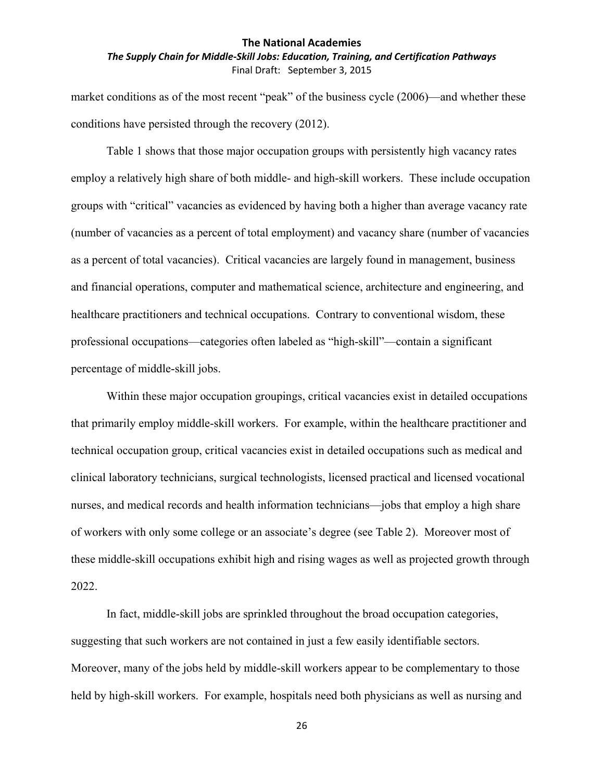## *The Supply Chain for Middle‐Skill Jobs: Education, Training, and Certification Pathways* Final Draft: September 3, 2015

market conditions as of the most recent "peak" of the business cycle (2006)—and whether these conditions have persisted through the recovery (2012).

Table 1 shows that those major occupation groups with persistently high vacancy rates employ a relatively high share of both middle- and high-skill workers. These include occupation groups with "critical" vacancies as evidenced by having both a higher than average vacancy rate (number of vacancies as a percent of total employment) and vacancy share (number of vacancies as a percent of total vacancies). Critical vacancies are largely found in management, business and financial operations, computer and mathematical science, architecture and engineering, and healthcare practitioners and technical occupations. Contrary to conventional wisdom, these professional occupations—categories often labeled as "high-skill"—contain a significant percentage of middle-skill jobs.

Within these major occupation groupings, critical vacancies exist in detailed occupations that primarily employ middle-skill workers. For example, within the healthcare practitioner and technical occupation group, critical vacancies exist in detailed occupations such as medical and clinical laboratory technicians, surgical technologists, licensed practical and licensed vocational nurses, and medical records and health information technicians—jobs that employ a high share of workers with only some college or an associate's degree (see Table 2). Moreover most of these middle-skill occupations exhibit high and rising wages as well as projected growth through 2022.

In fact, middle-skill jobs are sprinkled throughout the broad occupation categories, suggesting that such workers are not contained in just a few easily identifiable sectors. Moreover, many of the jobs held by middle-skill workers appear to be complementary to those held by high-skill workers. For example, hospitals need both physicians as well as nursing and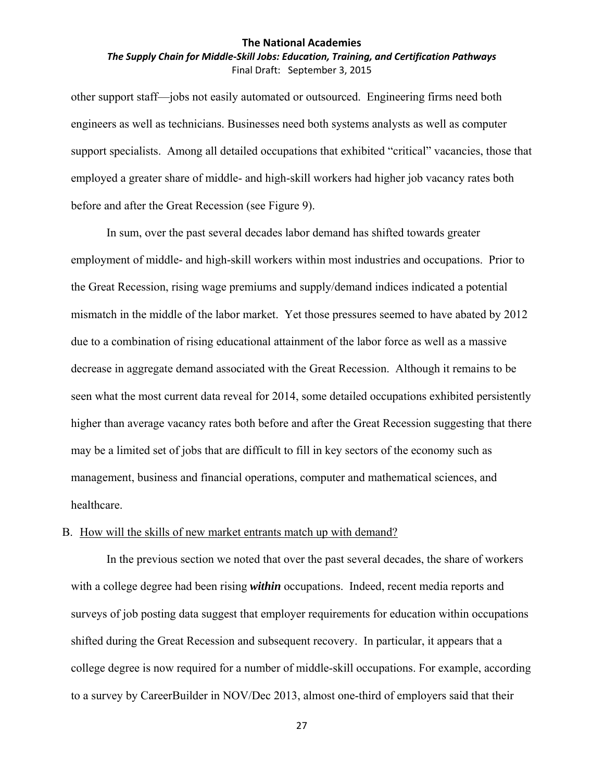## *The Supply Chain for Middle‐Skill Jobs: Education, Training, and Certification Pathways* Final Draft: September 3, 2015

other support staff—jobs not easily automated or outsourced. Engineering firms need both engineers as well as technicians. Businesses need both systems analysts as well as computer support specialists. Among all detailed occupations that exhibited "critical" vacancies, those that employed a greater share of middle- and high-skill workers had higher job vacancy rates both before and after the Great Recession (see Figure 9).

In sum, over the past several decades labor demand has shifted towards greater employment of middle- and high-skill workers within most industries and occupations. Prior to the Great Recession, rising wage premiums and supply/demand indices indicated a potential mismatch in the middle of the labor market. Yet those pressures seemed to have abated by 2012 due to a combination of rising educational attainment of the labor force as well as a massive decrease in aggregate demand associated with the Great Recession. Although it remains to be seen what the most current data reveal for 2014, some detailed occupations exhibited persistently higher than average vacancy rates both before and after the Great Recession suggesting that there may be a limited set of jobs that are difficult to fill in key sectors of the economy such as management, business and financial operations, computer and mathematical sciences, and healthcare.

## B. How will the skills of new market entrants match up with demand?

In the previous section we noted that over the past several decades, the share of workers with a college degree had been rising *within* occupations. Indeed, recent media reports and surveys of job posting data suggest that employer requirements for education within occupations shifted during the Great Recession and subsequent recovery. In particular, it appears that a college degree is now required for a number of middle-skill occupations. For example, according to a survey by CareerBuilder in NOV/Dec 2013, almost one-third of employers said that their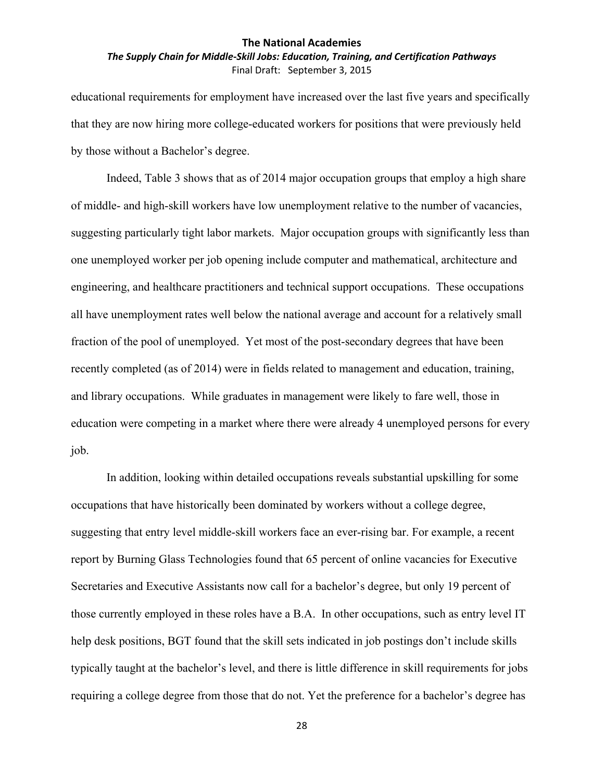### *The Supply Chain for Middle‐Skill Jobs: Education, Training, and Certification Pathways* Final Draft: September 3, 2015

educational requirements for employment have increased over the last five years and specifically that they are now hiring more college-educated workers for positions that were previously held by those without a Bachelor's degree.

Indeed, Table 3 shows that as of 2014 major occupation groups that employ a high share of middle- and high-skill workers have low unemployment relative to the number of vacancies, suggesting particularly tight labor markets. Major occupation groups with significantly less than one unemployed worker per job opening include computer and mathematical, architecture and engineering, and healthcare practitioners and technical support occupations. These occupations all have unemployment rates well below the national average and account for a relatively small fraction of the pool of unemployed. Yet most of the post-secondary degrees that have been recently completed (as of 2014) were in fields related to management and education, training, and library occupations. While graduates in management were likely to fare well, those in education were competing in a market where there were already 4 unemployed persons for every job.

In addition, looking within detailed occupations reveals substantial upskilling for some occupations that have historically been dominated by workers without a college degree, suggesting that entry level middle-skill workers face an ever-rising bar. For example, a recent report by Burning Glass Technologies found that 65 percent of online vacancies for Executive Secretaries and Executive Assistants now call for a bachelor's degree, but only 19 percent of those currently employed in these roles have a B.A. In other occupations, such as entry level IT help desk positions, BGT found that the skill sets indicated in job postings don't include skills typically taught at the bachelor's level, and there is little difference in skill requirements for jobs requiring a college degree from those that do not. Yet the preference for a bachelor's degree has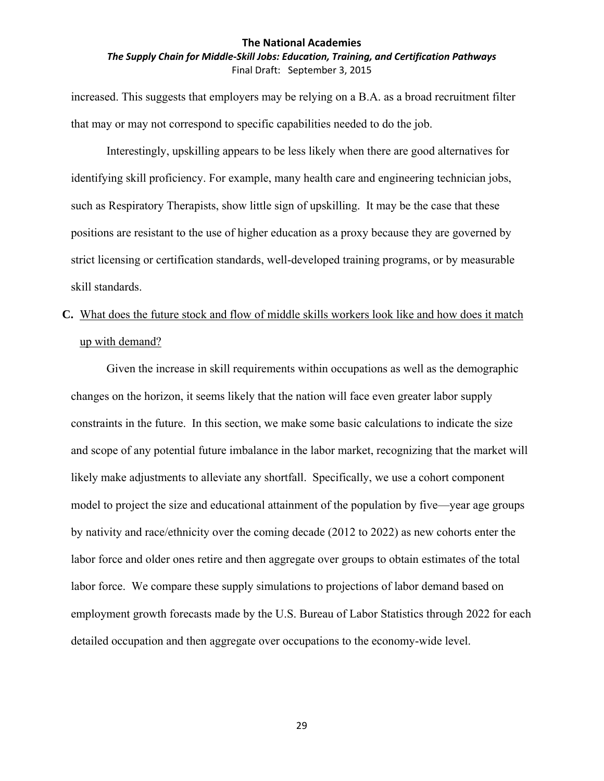## *The Supply Chain for Middle‐Skill Jobs: Education, Training, and Certification Pathways* Final Draft: September 3, 2015

increased. This suggests that employers may be relying on a B.A. as a broad recruitment filter that may or may not correspond to specific capabilities needed to do the job.

Interestingly, upskilling appears to be less likely when there are good alternatives for identifying skill proficiency. For example, many health care and engineering technician jobs, such as Respiratory Therapists, show little sign of upskilling. It may be the case that these positions are resistant to the use of higher education as a proxy because they are governed by strict licensing or certification standards, well-developed training programs, or by measurable skill standards.

# **C.** What does the future stock and flow of middle skills workers look like and how does it match up with demand?

Given the increase in skill requirements within occupations as well as the demographic changes on the horizon, it seems likely that the nation will face even greater labor supply constraints in the future. In this section, we make some basic calculations to indicate the size and scope of any potential future imbalance in the labor market, recognizing that the market will likely make adjustments to alleviate any shortfall. Specifically, we use a cohort component model to project the size and educational attainment of the population by five—year age groups by nativity and race/ethnicity over the coming decade (2012 to 2022) as new cohorts enter the labor force and older ones retire and then aggregate over groups to obtain estimates of the total labor force. We compare these supply simulations to projections of labor demand based on employment growth forecasts made by the U.S. Bureau of Labor Statistics through 2022 for each detailed occupation and then aggregate over occupations to the economy-wide level.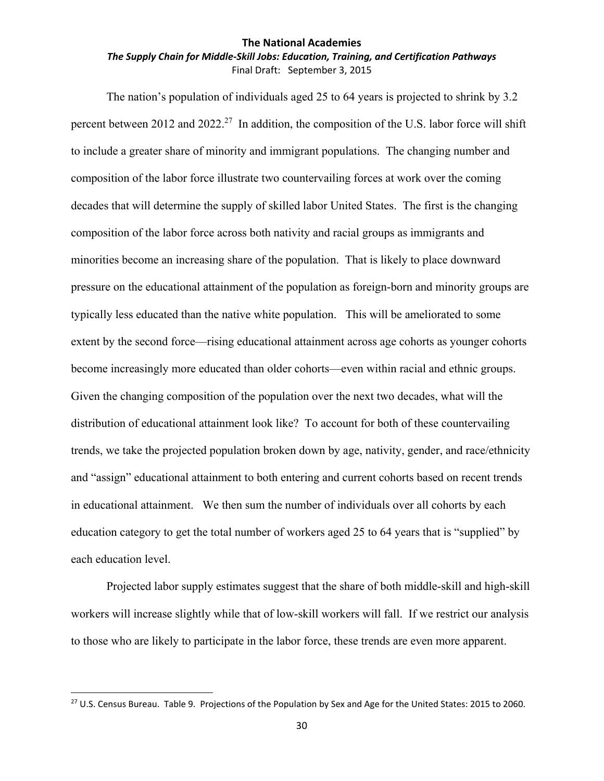## *The Supply Chain for Middle‐Skill Jobs: Education, Training, and Certification Pathways* Final Draft: September 3, 2015

The nation's population of individuals aged 25 to 64 years is projected to shrink by 3.2 percent between 2012 and 2022.<sup>27</sup> In addition, the composition of the U.S. labor force will shift to include a greater share of minority and immigrant populations. The changing number and composition of the labor force illustrate two countervailing forces at work over the coming decades that will determine the supply of skilled labor United States. The first is the changing composition of the labor force across both nativity and racial groups as immigrants and minorities become an increasing share of the population. That is likely to place downward pressure on the educational attainment of the population as foreign-born and minority groups are typically less educated than the native white population. This will be ameliorated to some extent by the second force—rising educational attainment across age cohorts as younger cohorts become increasingly more educated than older cohorts—even within racial and ethnic groups. Given the changing composition of the population over the next two decades, what will the distribution of educational attainment look like? To account for both of these countervailing trends, we take the projected population broken down by age, nativity, gender, and race/ethnicity and "assign" educational attainment to both entering and current cohorts based on recent trends in educational attainment. We then sum the number of individuals over all cohorts by each education category to get the total number of workers aged 25 to 64 years that is "supplied" by each education level.

Projected labor supply estimates suggest that the share of both middle-skill and high-skill workers will increase slightly while that of low-skill workers will fall. If we restrict our analysis to those who are likely to participate in the labor force, these trends are even more apparent.

<sup>&</sup>lt;sup>27</sup> U.S. Census Bureau. Table 9. Projections of the Population by Sex and Age for the United States: 2015 to 2060.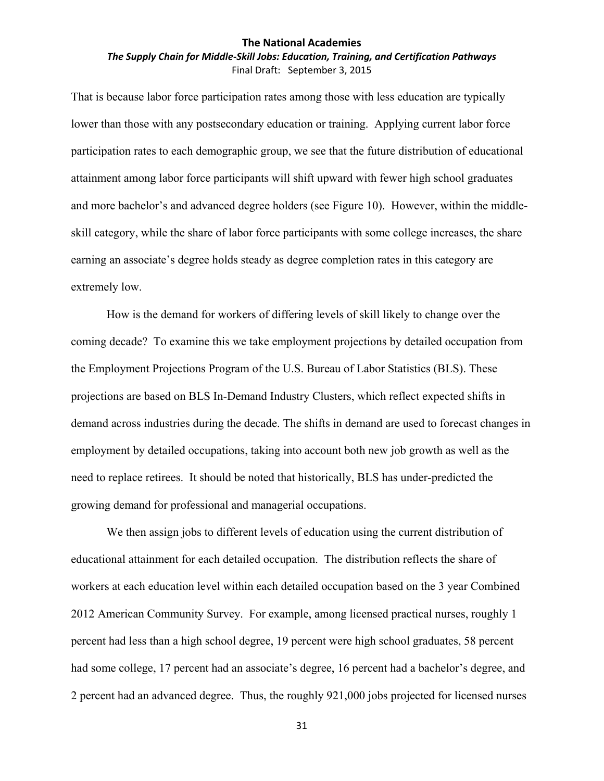## *The Supply Chain for Middle‐Skill Jobs: Education, Training, and Certification Pathways* Final Draft: September 3, 2015

That is because labor force participation rates among those with less education are typically lower than those with any postsecondary education or training. Applying current labor force participation rates to each demographic group, we see that the future distribution of educational attainment among labor force participants will shift upward with fewer high school graduates and more bachelor's and advanced degree holders (see Figure 10). However, within the middleskill category, while the share of labor force participants with some college increases, the share earning an associate's degree holds steady as degree completion rates in this category are extremely low.

How is the demand for workers of differing levels of skill likely to change over the coming decade? To examine this we take employment projections by detailed occupation from the Employment Projections Program of the U.S. Bureau of Labor Statistics (BLS). These projections are based on BLS In-Demand Industry Clusters, which reflect expected shifts in demand across industries during the decade. The shifts in demand are used to forecast changes in employment by detailed occupations, taking into account both new job growth as well as the need to replace retirees. It should be noted that historically, BLS has under-predicted the growing demand for professional and managerial occupations.

We then assign jobs to different levels of education using the current distribution of educational attainment for each detailed occupation. The distribution reflects the share of workers at each education level within each detailed occupation based on the 3 year Combined 2012 American Community Survey. For example, among licensed practical nurses, roughly 1 percent had less than a high school degree, 19 percent were high school graduates, 58 percent had some college, 17 percent had an associate's degree, 16 percent had a bachelor's degree, and 2 percent had an advanced degree. Thus, the roughly 921,000 jobs projected for licensed nurses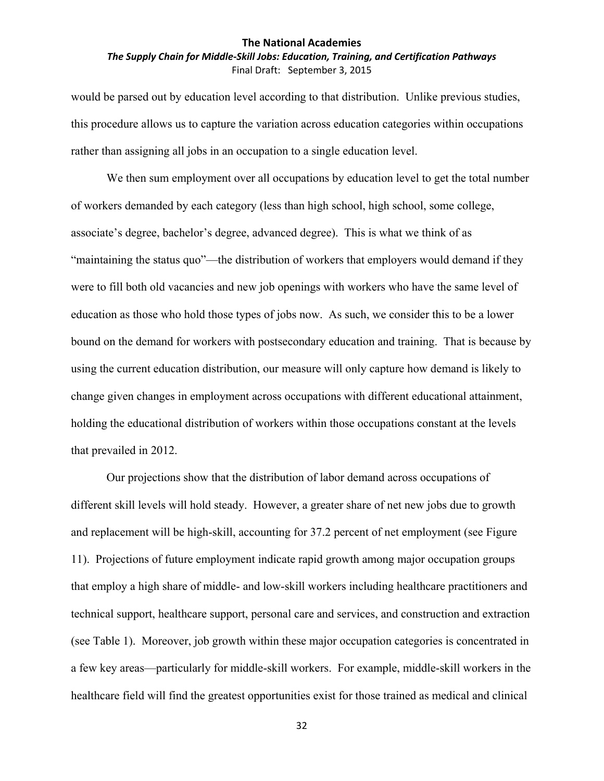## *The Supply Chain for Middle‐Skill Jobs: Education, Training, and Certification Pathways* Final Draft: September 3, 2015

would be parsed out by education level according to that distribution. Unlike previous studies, this procedure allows us to capture the variation across education categories within occupations rather than assigning all jobs in an occupation to a single education level.

We then sum employment over all occupations by education level to get the total number of workers demanded by each category (less than high school, high school, some college, associate's degree, bachelor's degree, advanced degree). This is what we think of as "maintaining the status quo"—the distribution of workers that employers would demand if they were to fill both old vacancies and new job openings with workers who have the same level of education as those who hold those types of jobs now. As such, we consider this to be a lower bound on the demand for workers with postsecondary education and training. That is because by using the current education distribution, our measure will only capture how demand is likely to change given changes in employment across occupations with different educational attainment, holding the educational distribution of workers within those occupations constant at the levels that prevailed in 2012.

Our projections show that the distribution of labor demand across occupations of different skill levels will hold steady. However, a greater share of net new jobs due to growth and replacement will be high-skill, accounting for 37.2 percent of net employment (see Figure 11). Projections of future employment indicate rapid growth among major occupation groups that employ a high share of middle- and low-skill workers including healthcare practitioners and technical support, healthcare support, personal care and services, and construction and extraction (see Table 1). Moreover, job growth within these major occupation categories is concentrated in a few key areas—particularly for middle-skill workers. For example, middle-skill workers in the healthcare field will find the greatest opportunities exist for those trained as medical and clinical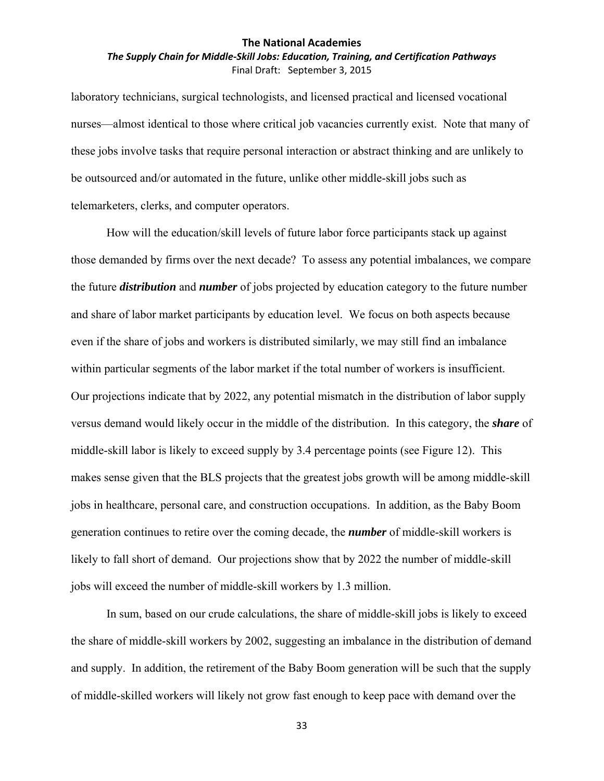## *The Supply Chain for Middle‐Skill Jobs: Education, Training, and Certification Pathways* Final Draft: September 3, 2015

laboratory technicians, surgical technologists, and licensed practical and licensed vocational nurses—almost identical to those where critical job vacancies currently exist. Note that many of these jobs involve tasks that require personal interaction or abstract thinking and are unlikely to be outsourced and/or automated in the future, unlike other middle-skill jobs such as telemarketers, clerks, and computer operators.

How will the education/skill levels of future labor force participants stack up against those demanded by firms over the next decade? To assess any potential imbalances, we compare the future *distribution* and *number* of jobs projected by education category to the future number and share of labor market participants by education level. We focus on both aspects because even if the share of jobs and workers is distributed similarly, we may still find an imbalance within particular segments of the labor market if the total number of workers is insufficient. Our projections indicate that by 2022, any potential mismatch in the distribution of labor supply versus demand would likely occur in the middle of the distribution. In this category, the *share* of middle-skill labor is likely to exceed supply by 3.4 percentage points (see Figure 12). This makes sense given that the BLS projects that the greatest jobs growth will be among middle-skill jobs in healthcare, personal care, and construction occupations. In addition, as the Baby Boom generation continues to retire over the coming decade, the *number* of middle-skill workers is likely to fall short of demand. Our projections show that by 2022 the number of middle-skill jobs will exceed the number of middle-skill workers by 1.3 million.

In sum, based on our crude calculations, the share of middle-skill jobs is likely to exceed the share of middle-skill workers by 2002, suggesting an imbalance in the distribution of demand and supply. In addition, the retirement of the Baby Boom generation will be such that the supply of middle-skilled workers will likely not grow fast enough to keep pace with demand over the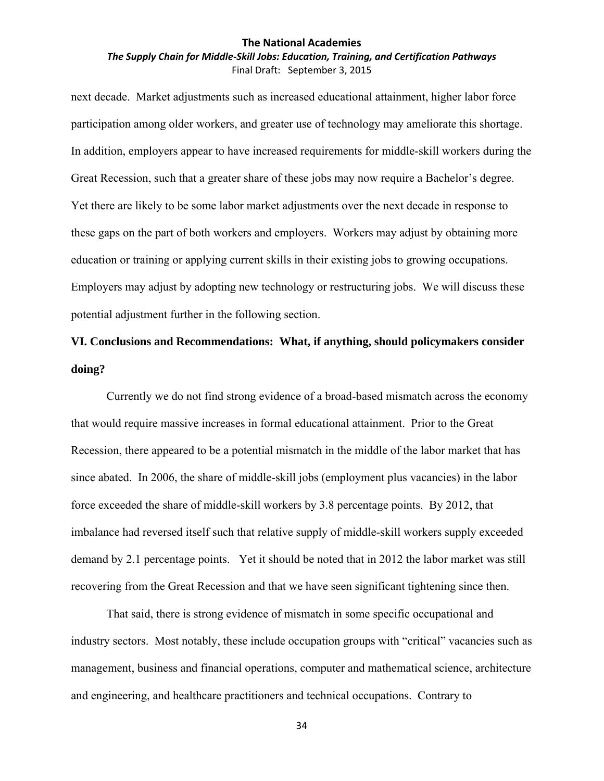### *The Supply Chain for Middle‐Skill Jobs: Education, Training, and Certification Pathways* Final Draft: September 3, 2015

next decade. Market adjustments such as increased educational attainment, higher labor force participation among older workers, and greater use of technology may ameliorate this shortage. In addition, employers appear to have increased requirements for middle-skill workers during the Great Recession, such that a greater share of these jobs may now require a Bachelor's degree. Yet there are likely to be some labor market adjustments over the next decade in response to these gaps on the part of both workers and employers. Workers may adjust by obtaining more education or training or applying current skills in their existing jobs to growing occupations. Employers may adjust by adopting new technology or restructuring jobs. We will discuss these potential adjustment further in the following section.

## **VI. Conclusions and Recommendations: What, if anything, should policymakers consider doing?**

Currently we do not find strong evidence of a broad-based mismatch across the economy that would require massive increases in formal educational attainment. Prior to the Great Recession, there appeared to be a potential mismatch in the middle of the labor market that has since abated. In 2006, the share of middle-skill jobs (employment plus vacancies) in the labor force exceeded the share of middle-skill workers by 3.8 percentage points. By 2012, that imbalance had reversed itself such that relative supply of middle-skill workers supply exceeded demand by 2.1 percentage points. Yet it should be noted that in 2012 the labor market was still recovering from the Great Recession and that we have seen significant tightening since then.

That said, there is strong evidence of mismatch in some specific occupational and industry sectors. Most notably, these include occupation groups with "critical" vacancies such as management, business and financial operations, computer and mathematical science, architecture and engineering, and healthcare practitioners and technical occupations. Contrary to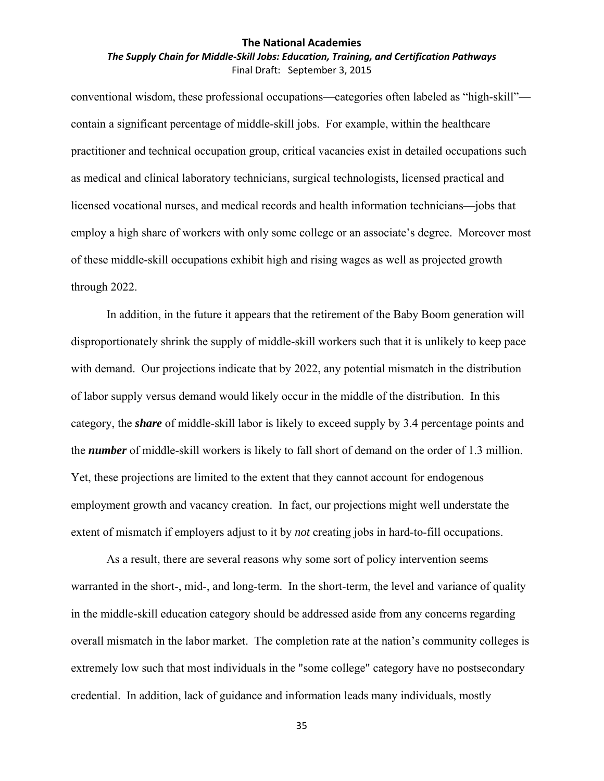## *The Supply Chain for Middle‐Skill Jobs: Education, Training, and Certification Pathways* Final Draft: September 3, 2015

conventional wisdom, these professional occupations—categories often labeled as "high-skill" contain a significant percentage of middle-skill jobs. For example, within the healthcare practitioner and technical occupation group, critical vacancies exist in detailed occupations such as medical and clinical laboratory technicians, surgical technologists, licensed practical and licensed vocational nurses, and medical records and health information technicians—jobs that employ a high share of workers with only some college or an associate's degree. Moreover most of these middle-skill occupations exhibit high and rising wages as well as projected growth through 2022.

In addition, in the future it appears that the retirement of the Baby Boom generation will disproportionately shrink the supply of middle-skill workers such that it is unlikely to keep pace with demand. Our projections indicate that by 2022, any potential mismatch in the distribution of labor supply versus demand would likely occur in the middle of the distribution. In this category, the *share* of middle-skill labor is likely to exceed supply by 3.4 percentage points and the *number* of middle-skill workers is likely to fall short of demand on the order of 1.3 million. Yet, these projections are limited to the extent that they cannot account for endogenous employment growth and vacancy creation. In fact, our projections might well understate the extent of mismatch if employers adjust to it by *not* creating jobs in hard-to-fill occupations.

As a result, there are several reasons why some sort of policy intervention seems warranted in the short-, mid-, and long-term. In the short-term, the level and variance of quality in the middle-skill education category should be addressed aside from any concerns regarding overall mismatch in the labor market. The completion rate at the nation's community colleges is extremely low such that most individuals in the "some college" category have no postsecondary credential. In addition, lack of guidance and information leads many individuals, mostly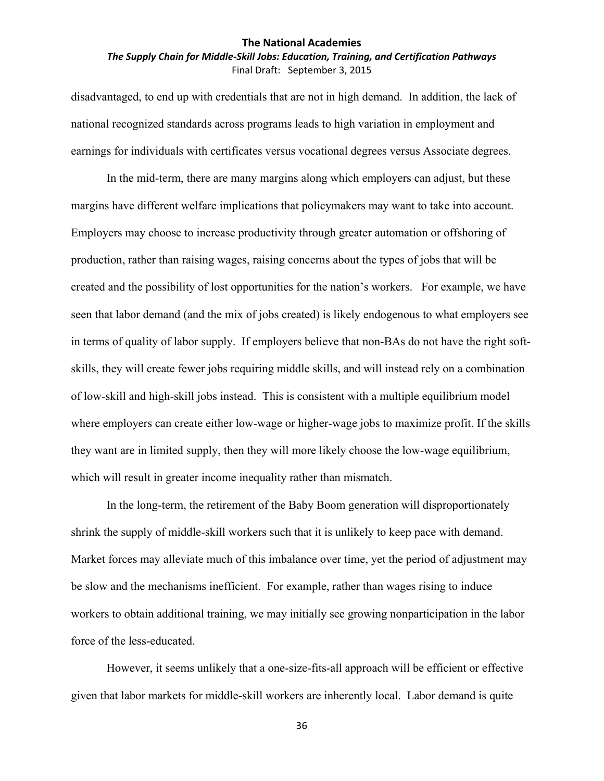## *The Supply Chain for Middle‐Skill Jobs: Education, Training, and Certification Pathways* Final Draft: September 3, 2015

disadvantaged, to end up with credentials that are not in high demand. In addition, the lack of national recognized standards across programs leads to high variation in employment and earnings for individuals with certificates versus vocational degrees versus Associate degrees.

In the mid-term, there are many margins along which employers can adjust, but these margins have different welfare implications that policymakers may want to take into account. Employers may choose to increase productivity through greater automation or offshoring of production, rather than raising wages, raising concerns about the types of jobs that will be created and the possibility of lost opportunities for the nation's workers. For example, we have seen that labor demand (and the mix of jobs created) is likely endogenous to what employers see in terms of quality of labor supply. If employers believe that non-BAs do not have the right softskills, they will create fewer jobs requiring middle skills, and will instead rely on a combination of low-skill and high-skill jobs instead. This is consistent with a multiple equilibrium model where employers can create either low-wage or higher-wage jobs to maximize profit. If the skills they want are in limited supply, then they will more likely choose the low-wage equilibrium, which will result in greater income inequality rather than mismatch.

In the long-term, the retirement of the Baby Boom generation will disproportionately shrink the supply of middle-skill workers such that it is unlikely to keep pace with demand. Market forces may alleviate much of this imbalance over time, yet the period of adjustment may be slow and the mechanisms inefficient. For example, rather than wages rising to induce workers to obtain additional training, we may initially see growing nonparticipation in the labor force of the less-educated.

However, it seems unlikely that a one-size-fits-all approach will be efficient or effective given that labor markets for middle-skill workers are inherently local. Labor demand is quite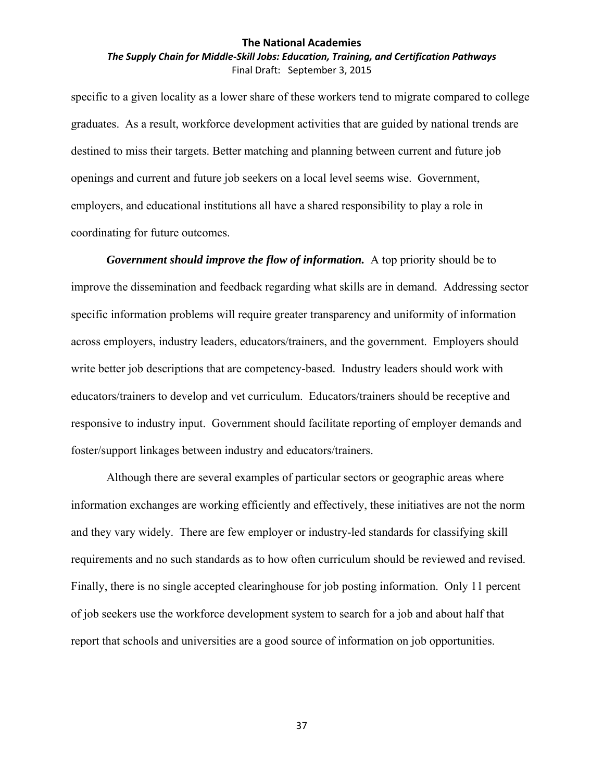## *The Supply Chain for Middle‐Skill Jobs: Education, Training, and Certification Pathways* Final Draft: September 3, 2015

specific to a given locality as a lower share of these workers tend to migrate compared to college graduates. As a result, workforce development activities that are guided by national trends are destined to miss their targets. Better matching and planning between current and future job openings and current and future job seekers on a local level seems wise. Government, employers, and educational institutions all have a shared responsibility to play a role in coordinating for future outcomes.

*Government should improve the flow of information.* A top priority should be to improve the dissemination and feedback regarding what skills are in demand. Addressing sector specific information problems will require greater transparency and uniformity of information across employers, industry leaders, educators/trainers, and the government. Employers should write better job descriptions that are competency-based. Industry leaders should work with educators/trainers to develop and vet curriculum. Educators/trainers should be receptive and responsive to industry input. Government should facilitate reporting of employer demands and foster/support linkages between industry and educators/trainers.

Although there are several examples of particular sectors or geographic areas where information exchanges are working efficiently and effectively, these initiatives are not the norm and they vary widely. There are few employer or industry-led standards for classifying skill requirements and no such standards as to how often curriculum should be reviewed and revised. Finally, there is no single accepted clearinghouse for job posting information. Only 11 percent of job seekers use the workforce development system to search for a job and about half that report that schools and universities are a good source of information on job opportunities.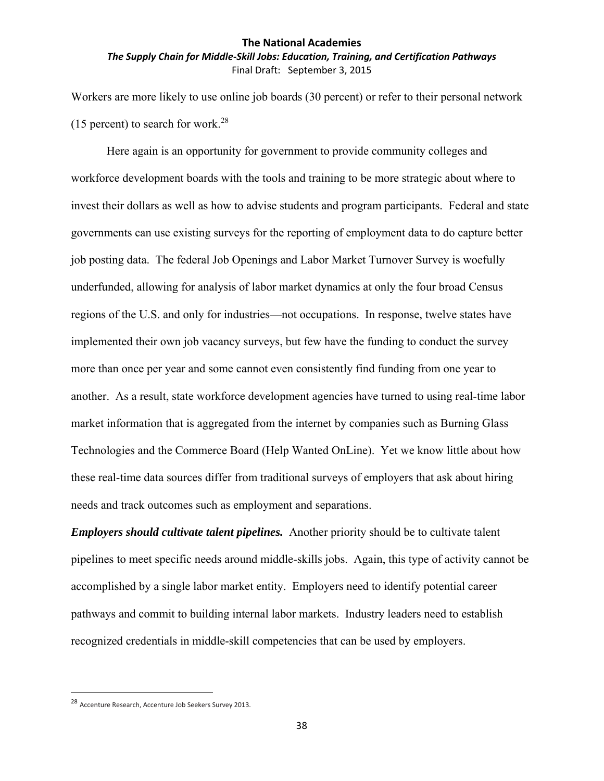## *The Supply Chain for Middle‐Skill Jobs: Education, Training, and Certification Pathways* Final Draft: September 3, 2015

Workers are more likely to use online job boards (30 percent) or refer to their personal network (15 percent) to search for work.<sup>28</sup>

Here again is an opportunity for government to provide community colleges and workforce development boards with the tools and training to be more strategic about where to invest their dollars as well as how to advise students and program participants. Federal and state governments can use existing surveys for the reporting of employment data to do capture better job posting data. The federal Job Openings and Labor Market Turnover Survey is woefully underfunded, allowing for analysis of labor market dynamics at only the four broad Census regions of the U.S. and only for industries—not occupations. In response, twelve states have implemented their own job vacancy surveys, but few have the funding to conduct the survey more than once per year and some cannot even consistently find funding from one year to another. As a result, state workforce development agencies have turned to using real-time labor market information that is aggregated from the internet by companies such as Burning Glass Technologies and the Commerce Board (Help Wanted OnLine). Yet we know little about how these real-time data sources differ from traditional surveys of employers that ask about hiring needs and track outcomes such as employment and separations.

*Employers should cultivate talent pipelines.* Another priority should be to cultivate talent pipelines to meet specific needs around middle-skills jobs. Again, this type of activity cannot be accomplished by a single labor market entity. Employers need to identify potential career pathways and commit to building internal labor markets. Industry leaders need to establish recognized credentials in middle-skill competencies that can be used by employers.

<sup>28</sup> Accenture Research, Accenture Job Seekers Survey 2013.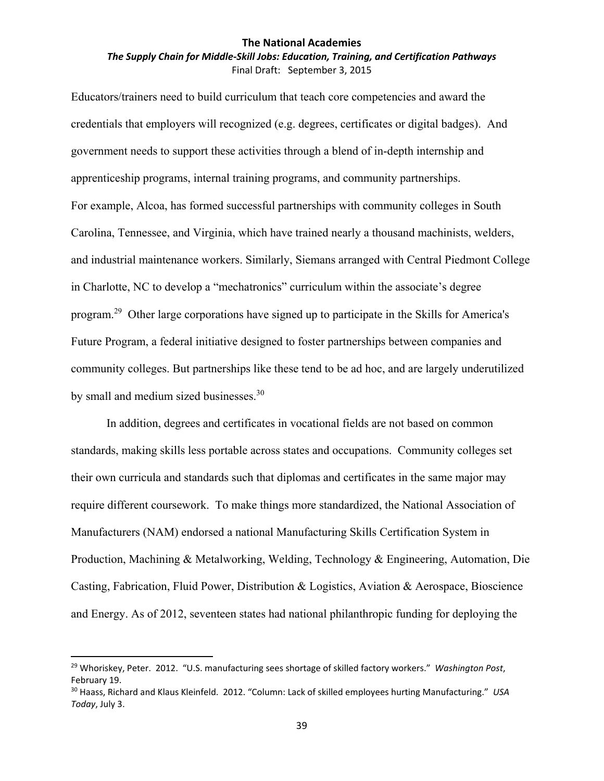## *The Supply Chain for Middle‐Skill Jobs: Education, Training, and Certification Pathways* Final Draft: September 3, 2015

Educators/trainers need to build curriculum that teach core competencies and award the credentials that employers will recognized (e.g. degrees, certificates or digital badges). And government needs to support these activities through a blend of in-depth internship and apprenticeship programs, internal training programs, and community partnerships. For example, Alcoa, has formed successful partnerships with community colleges in South Carolina, Tennessee, and Virginia, which have trained nearly a thousand machinists, welders, and industrial maintenance workers. Similarly, Siemans arranged with Central Piedmont College in Charlotte, NC to develop a "mechatronics" curriculum within the associate's degree program.29 Other large corporations have signed up to participate in the Skills for America's Future Program, a federal initiative designed to foster partnerships between companies and community colleges. But partnerships like these tend to be ad hoc, and are largely underutilized by small and medium sized businesses.<sup>30</sup>

In addition, degrees and certificates in vocational fields are not based on common standards, making skills less portable across states and occupations. Community colleges set their own curricula and standards such that diplomas and certificates in the same major may require different coursework. To make things more standardized, the National Association of Manufacturers (NAM) endorsed a national Manufacturing Skills Certification System in Production, Machining & Metalworking, Welding, Technology & Engineering, Automation, Die Casting, Fabrication, Fluid Power, Distribution & Logistics, Aviation & Aerospace, Bioscience and Energy. As of 2012, seventeen states had national philanthropic funding for deploying the

<sup>29</sup> Whoriskey, Peter. 2012. "U.S. manufacturing sees shortage of skilled factory workers." *Washington Post*, February 19.

<sup>30</sup> Haass, Richard and Klaus Kleinfeld. 2012. "Column: Lack of skilled employees hurting Manufacturing." *USA Today*, July 3.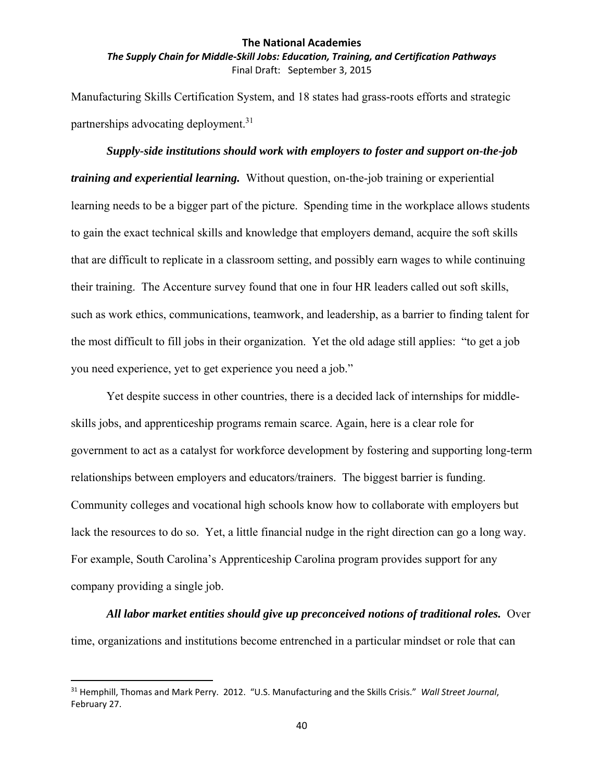*The Supply Chain for Middle‐Skill Jobs: Education, Training, and Certification Pathways* Final Draft: September 3, 2015

Manufacturing Skills Certification System, and 18 states had grass-roots efforts and strategic partnerships advocating deployment.<sup>31</sup>

### *Supply-side institutions should work with employers to foster and support on-the-job*

*training and experiential learning.* Without question, on-the-job training or experiential learning needs to be a bigger part of the picture. Spending time in the workplace allows students to gain the exact technical skills and knowledge that employers demand, acquire the soft skills that are difficult to replicate in a classroom setting, and possibly earn wages to while continuing their training. The Accenture survey found that one in four HR leaders called out soft skills, such as work ethics, communications, teamwork, and leadership, as a barrier to finding talent for the most difficult to fill jobs in their organization. Yet the old adage still applies: "to get a job you need experience, yet to get experience you need a job."

Yet despite success in other countries, there is a decided lack of internships for middleskills jobs, and apprenticeship programs remain scarce. Again, here is a clear role for government to act as a catalyst for workforce development by fostering and supporting long-term relationships between employers and educators/trainers. The biggest barrier is funding. Community colleges and vocational high schools know how to collaborate with employers but lack the resources to do so. Yet, a little financial nudge in the right direction can go a long way. For example, South Carolina's Apprenticeship Carolina program provides support for any company providing a single job.

*All labor market entities should give up preconceived notions of traditional roles.* Over time, organizations and institutions become entrenched in a particular mindset or role that can

<sup>31</sup> Hemphill, Thomas and Mark Perry. 2012. "U.S. Manufacturing and the Skills Crisis." *Wall Street Journal*, February 27.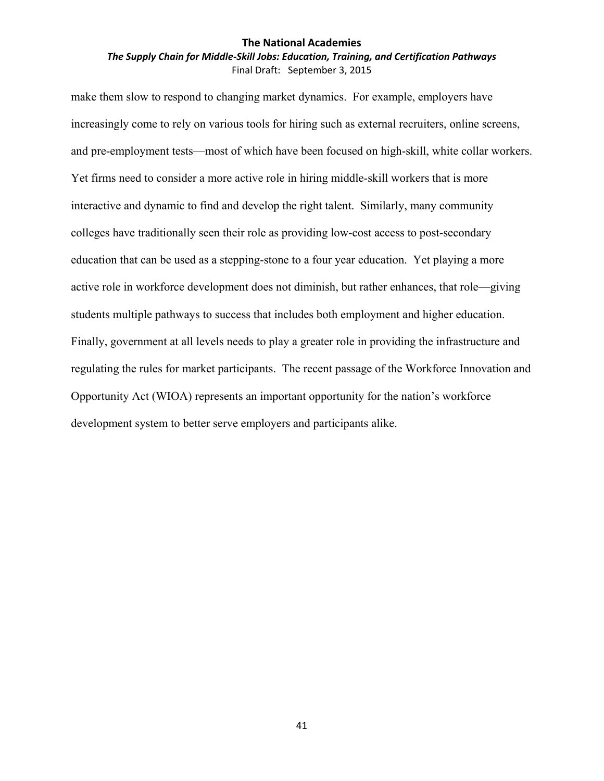## *The Supply Chain for Middle‐Skill Jobs: Education, Training, and Certification Pathways* Final Draft: September 3, 2015

make them slow to respond to changing market dynamics. For example, employers have increasingly come to rely on various tools for hiring such as external recruiters, online screens, and pre-employment tests—most of which have been focused on high-skill, white collar workers. Yet firms need to consider a more active role in hiring middle-skill workers that is more interactive and dynamic to find and develop the right talent. Similarly, many community colleges have traditionally seen their role as providing low-cost access to post-secondary education that can be used as a stepping-stone to a four year education. Yet playing a more active role in workforce development does not diminish, but rather enhances, that role—giving students multiple pathways to success that includes both employment and higher education. Finally, government at all levels needs to play a greater role in providing the infrastructure and regulating the rules for market participants. The recent passage of the Workforce Innovation and Opportunity Act (WIOA) represents an important opportunity for the nation's workforce development system to better serve employers and participants alike.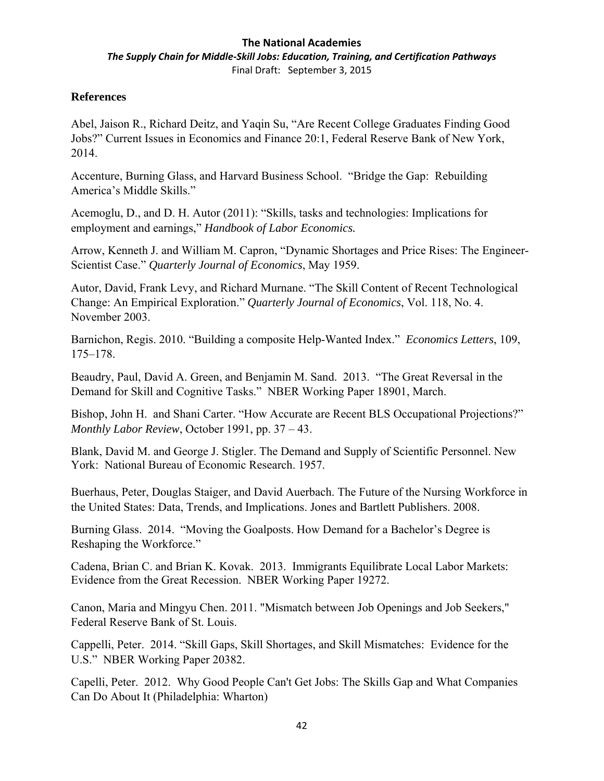*The Supply Chain for Middle‐Skill Jobs: Education, Training, and Certification Pathways* Final Draft: September 3, 2015

## **References**

Abel, Jaison R., Richard Deitz, and Yaqin Su, "Are Recent College Graduates Finding Good Jobs?" Current Issues in Economics and Finance 20:1, Federal Reserve Bank of New York, 2014.

Accenture, Burning Glass, and Harvard Business School. "Bridge the Gap: Rebuilding America's Middle Skills."

Acemoglu, D., and D. H. Autor (2011): "Skills, tasks and technologies: Implications for employment and earnings," *Handbook of Labor Economics.*

Arrow, Kenneth J. and William M. Capron, "Dynamic Shortages and Price Rises: The Engineer-Scientist Case." *Quarterly Journal of Economics*, May 1959.

Autor, David, Frank Levy, and Richard Murnane. "The Skill Content of Recent Technological Change: An Empirical Exploration." *Quarterly Journal of Economics*, Vol. 118, No. 4. November 2003.

Barnichon, Regis. 2010. "Building a composite Help-Wanted Index." *Economics Letters*, 109, 175–178.

Beaudry, Paul, David A. Green, and Benjamin M. Sand. 2013. "The Great Reversal in the Demand for Skill and Cognitive Tasks." NBER Working Paper 18901, March.

Bishop, John H. and Shani Carter. "How Accurate are Recent BLS Occupational Projections?" *Monthly Labor Review*, October 1991, pp. 37 – 43.

Blank, David M. and George J. Stigler. The Demand and Supply of Scientific Personnel. New York: National Bureau of Economic Research. 1957.

Buerhaus, Peter, Douglas Staiger, and David Auerbach. The Future of the Nursing Workforce in the United States: Data, Trends, and Implications. Jones and Bartlett Publishers. 2008.

Burning Glass. 2014. "Moving the Goalposts. How Demand for a Bachelor's Degree is Reshaping the Workforce."

Cadena, Brian C. and Brian K. Kovak. 2013. Immigrants Equilibrate Local Labor Markets: Evidence from the Great Recession. NBER Working Paper 19272.

Canon, Maria and Mingyu Chen. 2011. "Mismatch between Job Openings and Job Seekers," Federal Reserve Bank of St. Louis.

Cappelli, Peter. 2014. "Skill Gaps, Skill Shortages, and Skill Mismatches: Evidence for the U.S." NBER Working Paper 20382.

Capelli, Peter. 2012. Why Good People Can't Get Jobs: The Skills Gap and What Companies Can Do About It (Philadelphia: Wharton)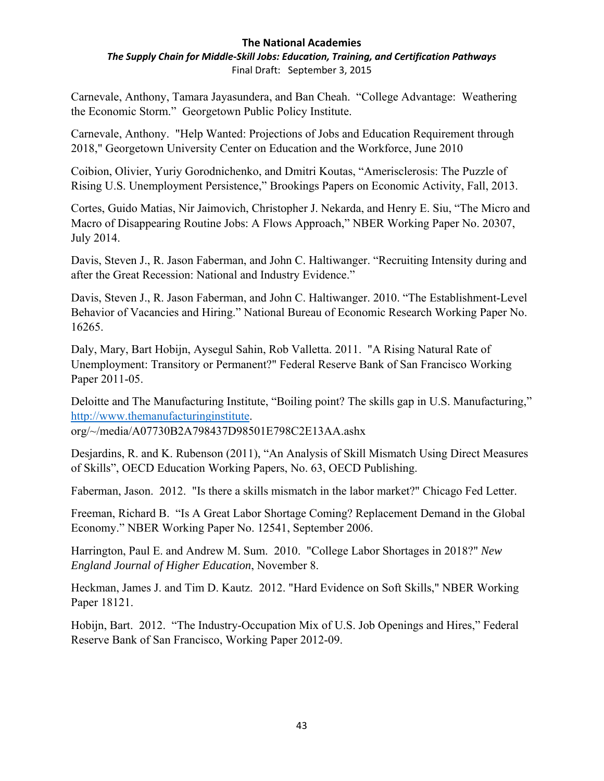*The Supply Chain for Middle‐Skill Jobs: Education, Training, and Certification Pathways* Final Draft: September 3, 2015

Carnevale, Anthony, Tamara Jayasundera, and Ban Cheah. "College Advantage: Weathering the Economic Storm." Georgetown Public Policy Institute.

Carnevale, Anthony. "Help Wanted: Projections of Jobs and Education Requirement through 2018," Georgetown University Center on Education and the Workforce, June 2010

Coibion, Olivier, Yuriy Gorodnichenko, and Dmitri Koutas, "Amerisclerosis: The Puzzle of Rising U.S. Unemployment Persistence," Brookings Papers on Economic Activity, Fall, 2013.

Cortes, Guido Matias, Nir Jaimovich, Christopher J. Nekarda, and Henry E. Siu, "The Micro and Macro of Disappearing Routine Jobs: A Flows Approach," NBER Working Paper No. 20307, July 2014.

Davis, Steven J., R. Jason Faberman, and John C. Haltiwanger. "Recruiting Intensity during and after the Great Recession: National and Industry Evidence."

Davis, Steven J., R. Jason Faberman, and John C. Haltiwanger. 2010. "The Establishment-Level Behavior of Vacancies and Hiring." National Bureau of Economic Research Working Paper No. 16265.

Daly, Mary, Bart Hobijn, Aysegul Sahin, Rob Valletta. 2011. "A Rising Natural Rate of Unemployment: Transitory or Permanent?" Federal Reserve Bank of San Francisco Working Paper 2011-05.

Deloitte and The Manufacturing Institute, "Boiling point? The skills gap in U.S. Manufacturing," http://www.themanufacturinginstitute.

org/~/media/A07730B2A798437D98501E798C2E13AA.ashx

Desjardins, R. and K. Rubenson (2011), "An Analysis of Skill Mismatch Using Direct Measures of Skills", OECD Education Working Papers, No. 63, OECD Publishing.

Faberman, Jason. 2012. "Is there a skills mismatch in the labor market?" Chicago Fed Letter.

Freeman, Richard B. "Is A Great Labor Shortage Coming? Replacement Demand in the Global Economy." NBER Working Paper No. 12541, September 2006.

Harrington, Paul E. and Andrew M. Sum. 2010. "College Labor Shortages in 2018?" *New England Journal of Higher Education*, November 8.

Heckman, James J. and Tim D. Kautz. 2012. "Hard Evidence on Soft Skills," NBER Working Paper 18121.

Hobijn, Bart. 2012. "The Industry-Occupation Mix of U.S. Job Openings and Hires," Federal Reserve Bank of San Francisco, Working Paper 2012-09.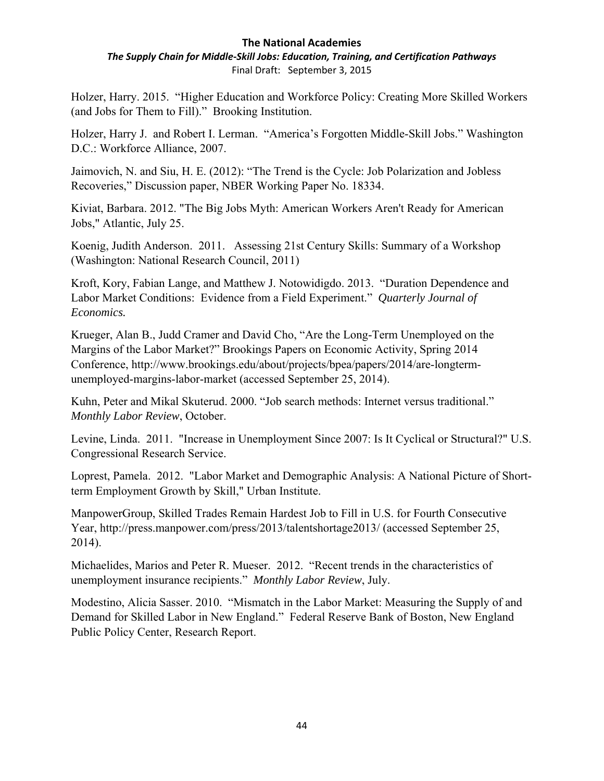*The Supply Chain for Middle‐Skill Jobs: Education, Training, and Certification Pathways* Final Draft: September 3, 2015

Holzer, Harry. 2015. "Higher Education and Workforce Policy: Creating More Skilled Workers (and Jobs for Them to Fill)." Brooking Institution.

Holzer, Harry J. and Robert I. Lerman. "America's Forgotten Middle-Skill Jobs." Washington D.C.: Workforce Alliance, 2007.

Jaimovich, N. and Siu, H. E. (2012): "The Trend is the Cycle: Job Polarization and Jobless Recoveries," Discussion paper, NBER Working Paper No. 18334.

Kiviat, Barbara. 2012. "The Big Jobs Myth: American Workers Aren't Ready for American Jobs," Atlantic, July 25.

Koenig, Judith Anderson. 2011. Assessing 21st Century Skills: Summary of a Workshop (Washington: National Research Council, 2011)

Kroft, Kory, Fabian Lange, and Matthew J. Notowidigdo. 2013. "Duration Dependence and Labor Market Conditions: Evidence from a Field Experiment." *Quarterly Journal of Economics.*

Krueger, Alan B., Judd Cramer and David Cho, "Are the Long-Term Unemployed on the Margins of the Labor Market?" Brookings Papers on Economic Activity, Spring 2014 Conference, http://www.brookings.edu/about/projects/bpea/papers/2014/are-longtermunemployed-margins-labor-market (accessed September 25, 2014).

Kuhn, Peter and Mikal Skuterud. 2000. "Job search methods: Internet versus traditional." *Monthly Labor Review*, October.

Levine, Linda. 2011. "Increase in Unemployment Since 2007: Is It Cyclical or Structural?" U.S. Congressional Research Service.

Loprest, Pamela. 2012. "Labor Market and Demographic Analysis: A National Picture of Shortterm Employment Growth by Skill," Urban Institute.

ManpowerGroup, Skilled Trades Remain Hardest Job to Fill in U.S. for Fourth Consecutive Year, http://press.manpower.com/press/2013/talentshortage2013/ (accessed September 25, 2014).

Michaelides, Marios and Peter R. Mueser. 2012. "Recent trends in the characteristics of unemployment insurance recipients." *Monthly Labor Review*, July.

Modestino, Alicia Sasser. 2010. "Mismatch in the Labor Market: Measuring the Supply of and Demand for Skilled Labor in New England." Federal Reserve Bank of Boston, New England Public Policy Center, Research Report.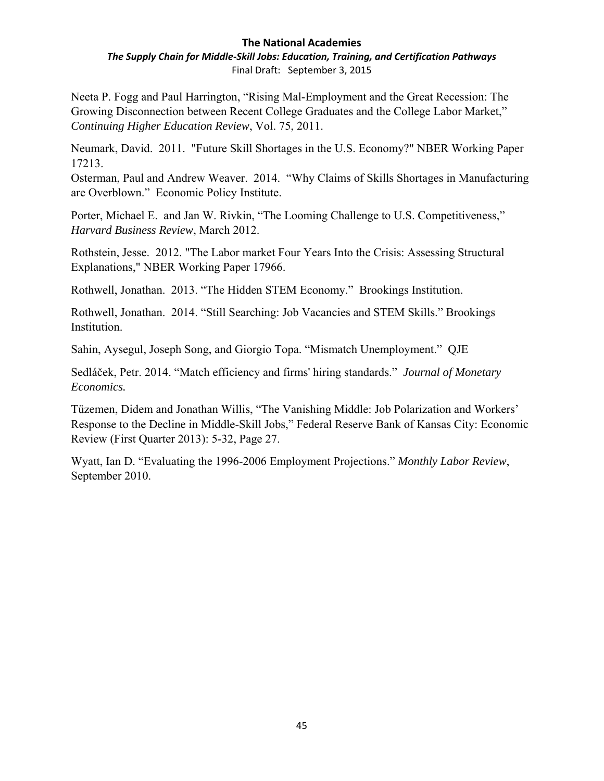*The Supply Chain for Middle‐Skill Jobs: Education, Training, and Certification Pathways* Final Draft: September 3, 2015

Neeta P. Fogg and Paul Harrington, "Rising Mal-Employment and the Great Recession: The Growing Disconnection between Recent College Graduates and the College Labor Market," *Continuing Higher Education Review*, Vol. 75, 2011.

Neumark, David. 2011. "Future Skill Shortages in the U.S. Economy?" NBER Working Paper 17213.

Osterman, Paul and Andrew Weaver. 2014. "Why Claims of Skills Shortages in Manufacturing are Overblown." Economic Policy Institute.

Porter, Michael E. and Jan W. Rivkin, "The Looming Challenge to U.S. Competitiveness," *Harvard Business Review*, March 2012.

Rothstein, Jesse. 2012. "The Labor market Four Years Into the Crisis: Assessing Structural Explanations," NBER Working Paper 17966.

Rothwell, Jonathan. 2013. "The Hidden STEM Economy." Brookings Institution.

Rothwell, Jonathan. 2014. "Still Searching: Job Vacancies and STEM Skills." Brookings Institution.

Sahin, Aysegul, Joseph Song, and Giorgio Topa. "Mismatch Unemployment." QJE

Sedláček, Petr. 2014. "Match efficiency and firms' hiring standards." *Journal of Monetary Economics.* 

Tüzemen, Didem and Jonathan Willis, "The Vanishing Middle: Job Polarization and Workers' Response to the Decline in Middle-Skill Jobs," Federal Reserve Bank of Kansas City: Economic Review (First Quarter 2013): 5-32, Page 27.

Wyatt, Ian D. "Evaluating the 1996-2006 Employment Projections." *Monthly Labor Review*, September 2010.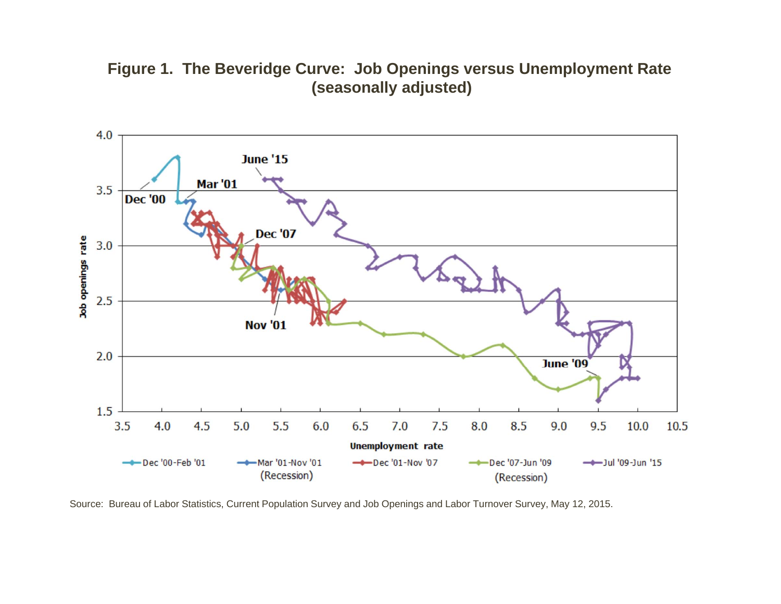## **Figure 1. The Beveridge Curve: Job Openings versus Unemployment Rate (seasonally adjusted)**



Source: Bureau of Labor Statistics, Current Population Survey and Job Openings and Labor Turnover Survey, May 12, 2015.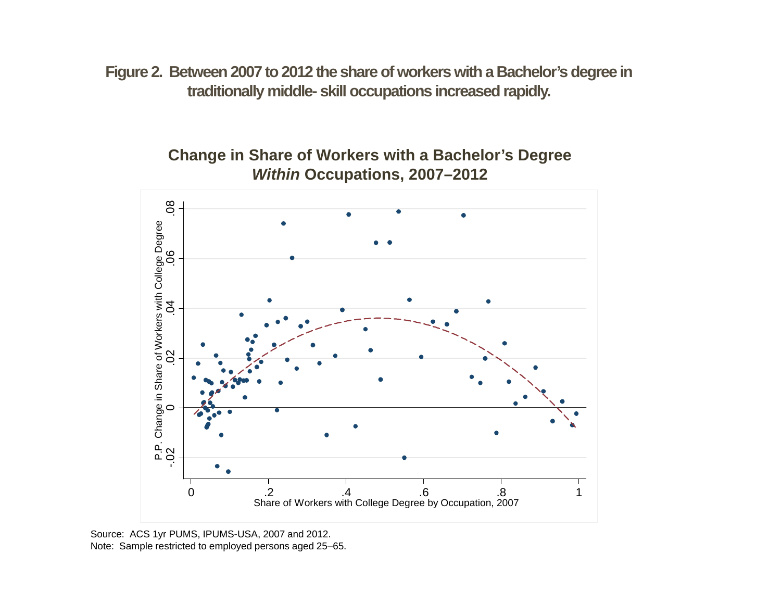**Figure 2. Between 2007 to 2012 the share of workers with a Bachelor's degree in traditionally middle- skill occupations increased rapidly.**

> **Change in Share of Workers with a Bachelor's Degree**  *Within* **Occupations, 2007–2012**



Source: ACS 1yr PUMS, IPUMS-USA, 2007 and 2012. Note: Sample restricted to employed persons aged 25–65.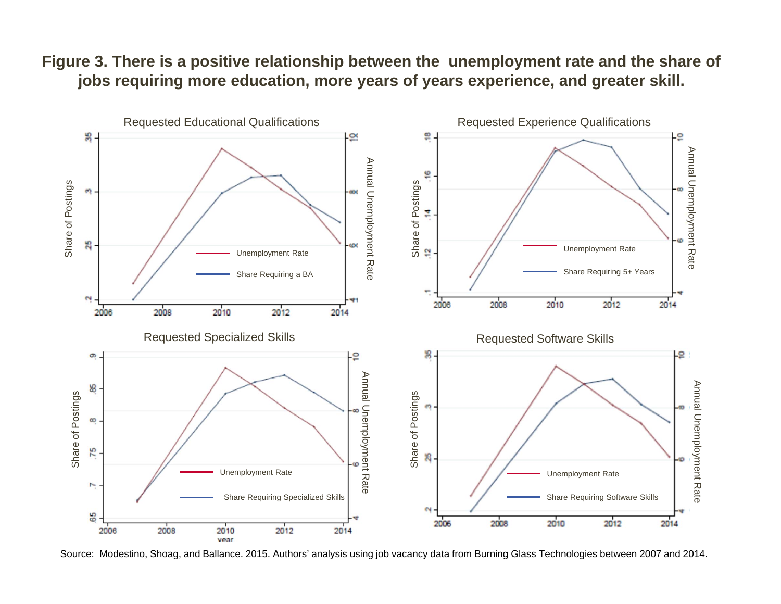## **Figure 3. There is a positive relationship between the unemployment rate and the share of jobs requiring more education, more years of years experience, and greater skill.**



Source: Modestino, Shoag, and Ballance. 2015. Authors' analysis using job vacancy data from Burning Glass Technologies between 2007 and 2014.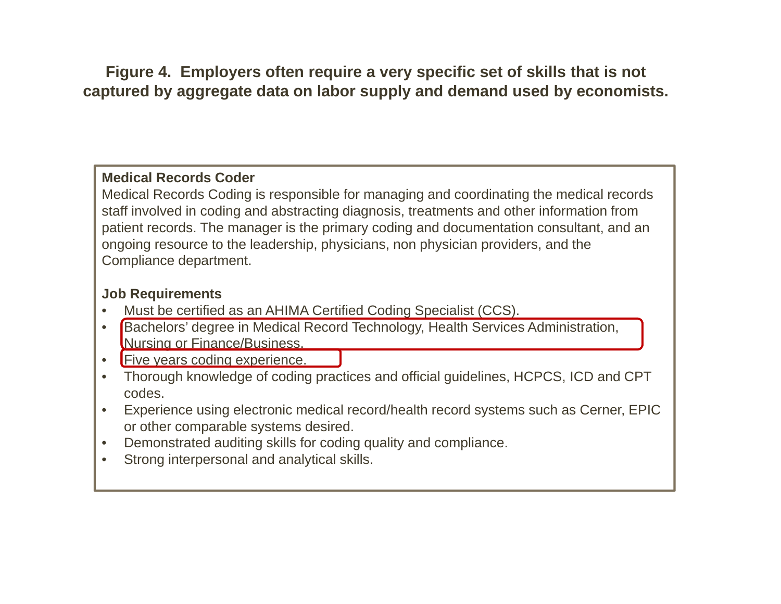**Figure 4. Employers often require a very specific set of skills that is not captured by aggregate data on labor supply and demand used by economists.**

## **Medical Records Coder**

Medical Records Coding is responsible for managing and coordinating the medical records staff involved in coding and abstracting diagnosis, treatments and other information from patient records. The manager is the primary coding and documentation consultant, and an ongoing resource to the leadership, physicians, non physician providers, and the Compliance department.

## **Job Requirements**

- •Must be certified as an AHIMA Certified Coding Specialist (CCS).
- $\bullet$  Bachelors' degree in Medical Record Technology, Health Services Administration, Nursing or Finance/Business.
- •**Five years coding experience.**
- Thorough knowledge of coding practices and official guidelines, HCPCS, ICD and CPT codes.
- • Experience using electronic medical record/health record systems such as Cerner, EPIC or other comparable systems desired.
- •Demonstrated auditing skills for coding quality and compliance.
- •Strong interpersonal and analytical skills.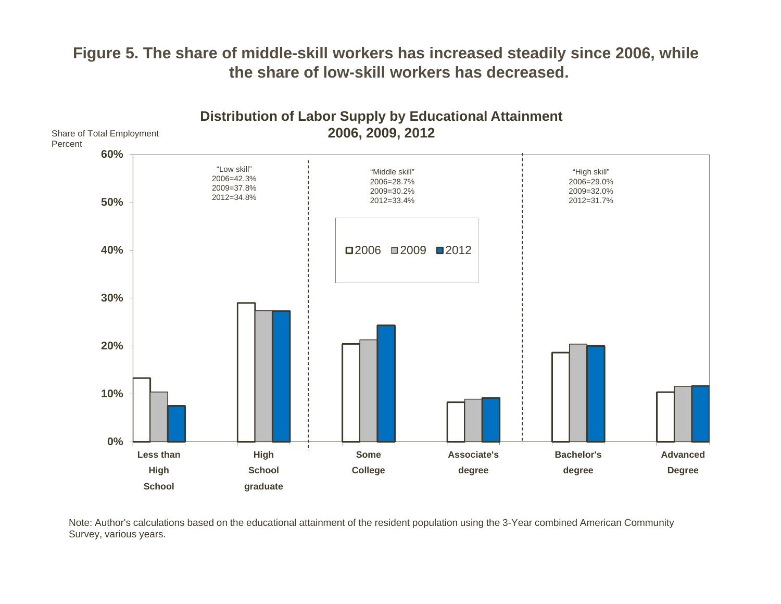## **Figure 5. The share of middle-skill workers has increased steadily since 2006, while the share of low-skill workers has decreased.**



Note: Author's calculations based on the educational attainment of the resident population using the 3-Year combined American Community Survey, various years.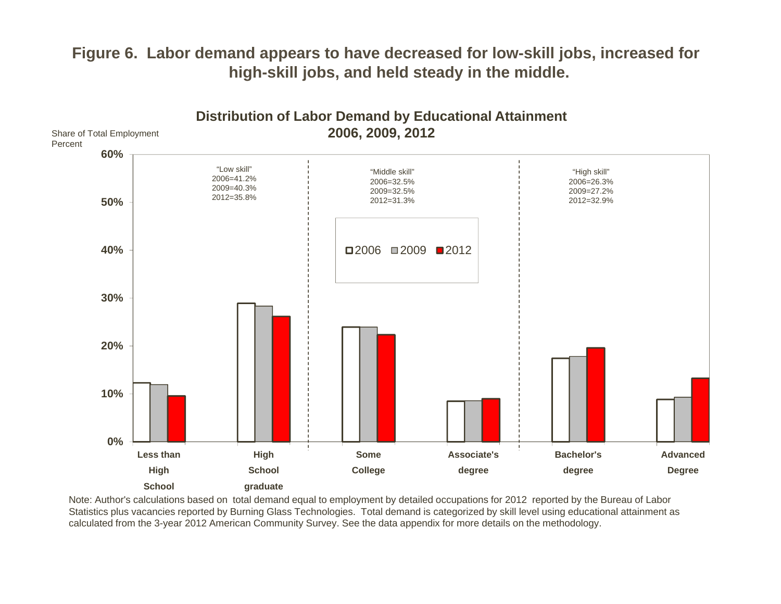## **Figure 6. Labor demand appears to have decreased for low-skill jobs, increased for high-skill jobs, and held steady in the middle.**



Note: Author's calculations based on total demand equal to employment by detailed occupations for 2012 reported by the Bureau of Labor Statistics plus vacancies reported by Burning Glass Technologies. Total demand is categorized by skill level using educational attainment as calculated from the 3-year 2012 American Community Survey. See the data appendix for more details on the methodology.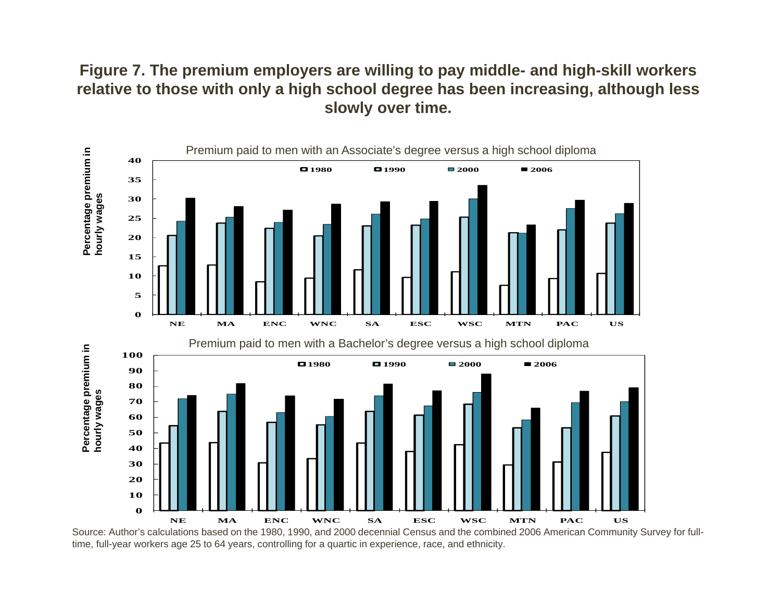## **Figure 7. The premium employers are willing to pay middle- and high-skill workers relative to those with only a high school degree has been increasing, although less slowly over time.**



Source: Author's calculations based on the 1980, 1990, and 2000 decennial Census and the combined 2006 American Community Survey for fulltime, full-year workers age 25 to 64 years, controlling for a quartic in experience, race, and ethnicity.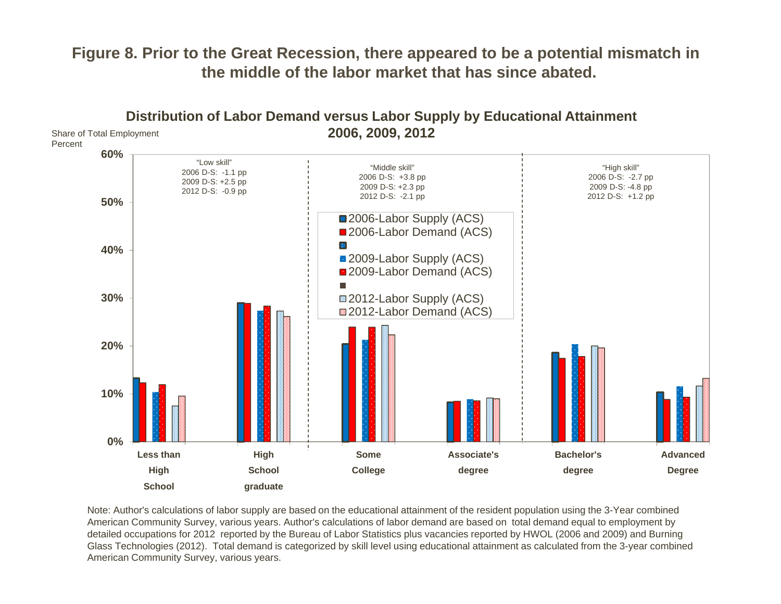## **Figure 8. Prior to the Great Recession, there appeared to be a potential mismatch in the middle of the labor market that has since abated.**



Note: Author's calculations of labor supply are based on the educational attainment of the resident population using the 3-Year combined American Community Survey, various years. Author's calculations of labor demand are based on total demand equal to employment by detailed occupations for 2012 reported by the Bureau of Labor Statistics plus vacancies reported by HWOL (2006 and 2009) and Burning Glass Technologies (2012). Total demand is categorized by skill level using educational attainment as calculated from the 3-year combined American Community Survey, various years.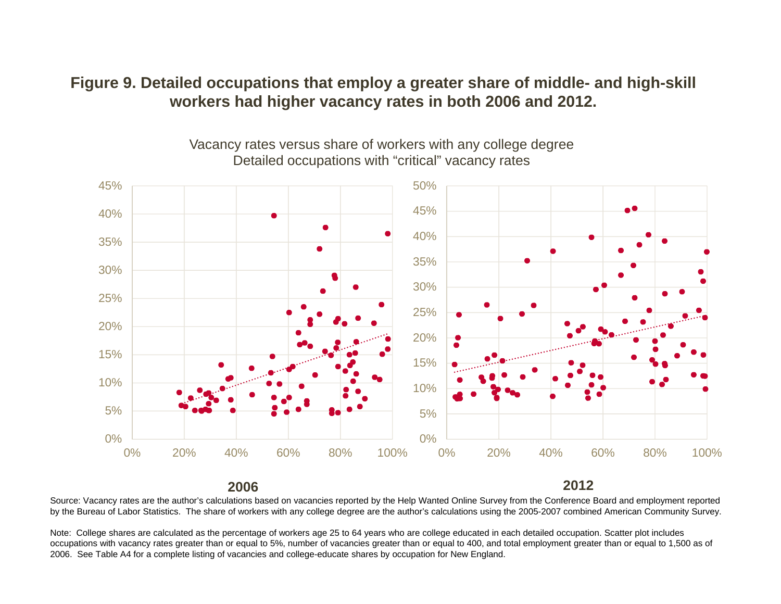## **Figure 9. Detailed occupations that employ a greater share of middle- and high-skill workers had higher vacancy rates in both 2006 and 2012.**



Vacancy rates versus share of workers with any college degree Detailed occupations with "critical" vacancy rates

## **2006**

**2012**

Source: Vacancy rates are the author's calculations based on vacancies reported by the Help Wanted Online Survey from the Conference Board and employment reported by the Bureau of Labor Statistics. The share of workers with any college degree are the author's calculations using the 2005-2007 combined American Community Survey.

Note: College shares are calculated as the percentage of workers age 25 to 64 years who are college educated in each detailed occupation. Scatter plot includes occupations with vacancy rates greater than or equal to 5%, number of vacancies greater than or equal to 400, and total employment greater than or equal to 1,500 as of 2006. See Table A4 for a complete listing of vacancies and college-educate shares by occupation for New England.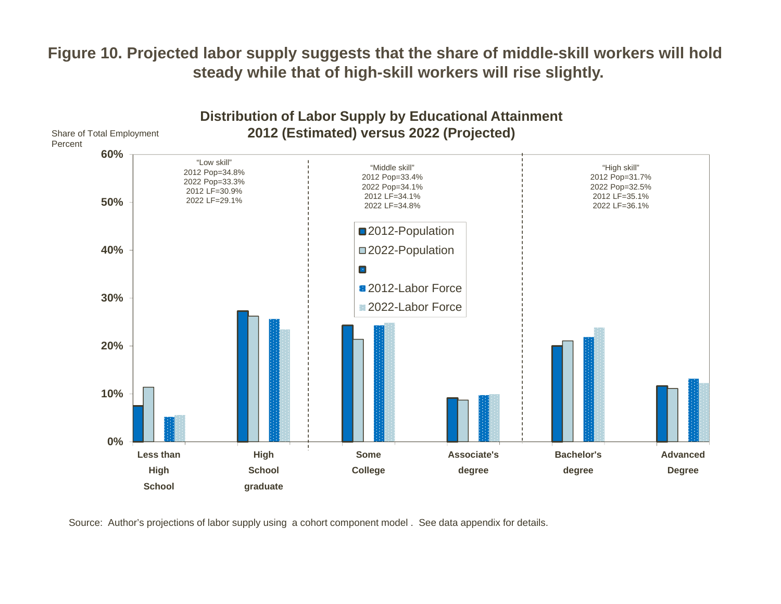## **Figure 10. Projected labor supply suggests that the share of middle-skill workers will hold steady while that of high-skill workers will rise slightly.**



Source: Author's projections of labor supply using a cohort component model . See data appendix for details.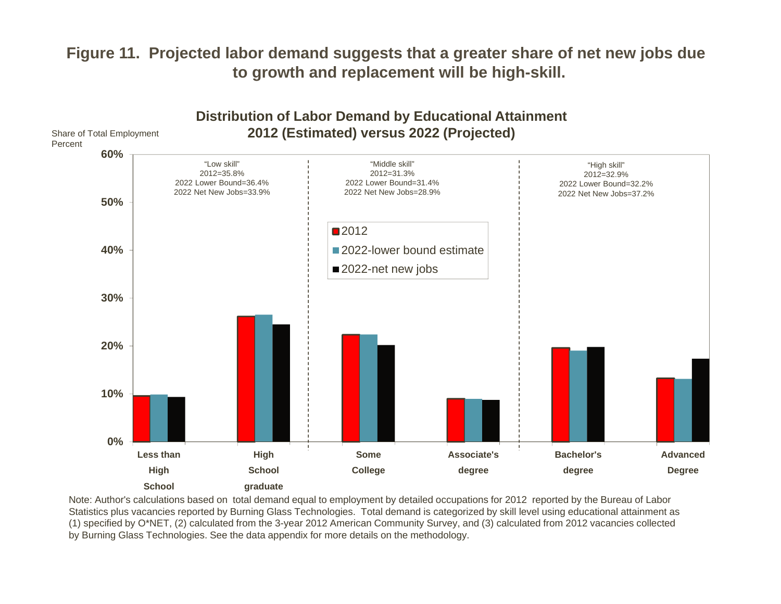## **Figure 11. Projected labor demand suggests that a greater share of net new jobs due to growth and replacement will be high-skill.**



Note: Author's calculations based on total demand equal to employment by detailed occupations for 2012 reported by the Bureau of Labor Statistics plus vacancies reported by Burning Glass Technologies. Total demand is categorized by skill level using educational attainment as (1) specified by O\*NET, (2) calculated from the 3-year 2012 American Community Survey, and (3) calculated from 2012 vacancies collected by Burning Glass Technologies. See the data appendix for more details on the methodology.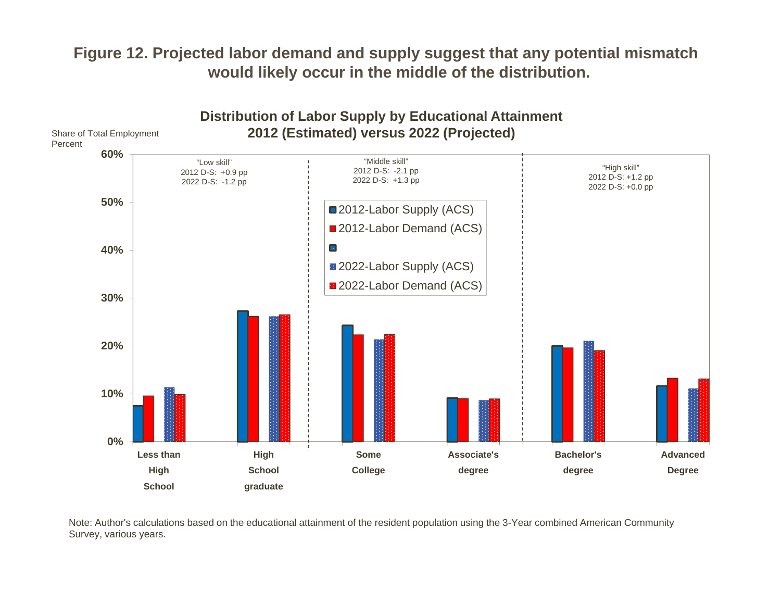## **Figure 12. Projected labor demand and supply suggest that any potential mismatch would likely occur in the middle of the distribution.**



Note: Author's calculations based on the educational attainment of the resident population using the 3-Year combined American Community Survey, various years.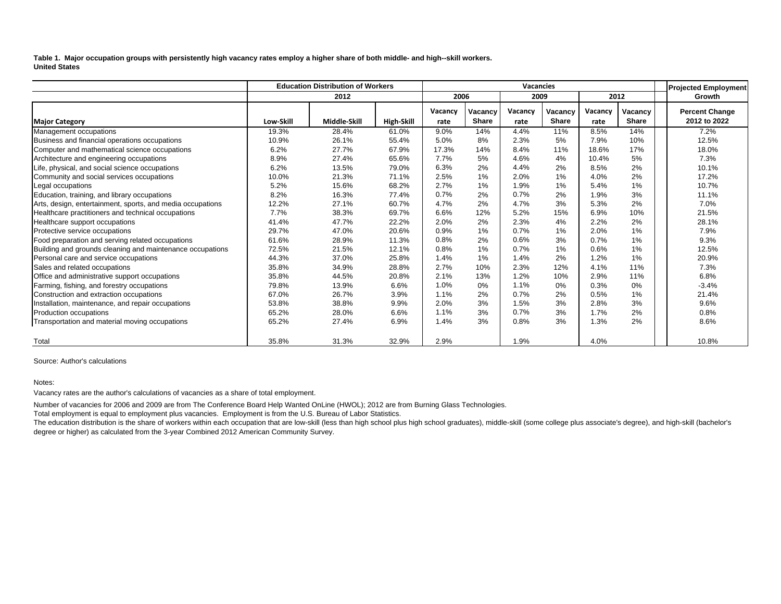**Table 1. Major occupation groups with persistently high vacancy rates employ a higher share of both middle- and high--skill workers. United States**

|                                                            | <b>Education Distribution of Workers</b> |              |            |                 | Vacancies               |                 |                         |                 |                         |        | <b>Projected Employment</b>           |
|------------------------------------------------------------|------------------------------------------|--------------|------------|-----------------|-------------------------|-----------------|-------------------------|-----------------|-------------------------|--------|---------------------------------------|
|                                                            | 2012                                     |              | 2006       |                 | 2009                    |                 | 2012                    |                 |                         | Growth |                                       |
| <b>Major Category</b>                                      | Low-Skill                                | Middle-Skill | High-Skill | Vacancy<br>rate | Vacancy<br><b>Share</b> | Vacancy<br>rate | Vacancy<br><b>Share</b> | Vacancy<br>rate | Vacancy<br><b>Share</b> |        | <b>Percent Change</b><br>2012 to 2022 |
| Management occupations                                     | 19.3%                                    | 28.4%        | 61.0%      | 9.0%            | 14%                     | 4.4%            | 11%                     | 8.5%            | 14%                     |        | 7.2%                                  |
| Business and financial operations occupations              | 10.9%                                    | 26.1%        | 55.4%      | 5.0%            | 8%                      | 2.3%            | 5%                      | 7.9%            | 10%                     |        | 12.5%                                 |
| Computer and mathematical science occupations              | 6.2%                                     | 27.7%        | 67.9%      | 17.3%           | 14%                     | 8.4%            | 11%                     | 18.6%           | 17%                     |        | 18.0%                                 |
| Architecture and engineering occupations                   | 8.9%                                     | 27.4%        | 65.6%      | 7.7%            | 5%                      | 4.6%            | 4%                      | 10.4%           | 5%                      |        | 7.3%                                  |
| Life, physical, and social science occupations             | 6.2%                                     | 13.5%        | 79.0%      | 6.3%            | 2%                      | 4.4%            | 2%                      | 8.5%            | 2%                      |        | 10.1%                                 |
| Community and social services occupations                  | 10.0%                                    | 21.3%        | 71.1%      | 2.5%            | 1%                      | 2.0%            | 1%                      | 4.0%            | 2%                      |        | 17.2%                                 |
| Legal occupations                                          | 5.2%                                     | 15.6%        | 68.2%      | 2.7%            | 1%                      | 1.9%            | 1%                      | 5.4%            | 1%                      |        | 10.7%                                 |
| Education, training, and library occupations               | 8.2%                                     | 16.3%        | 77.4%      | 0.7%            | 2%                      | 0.7%            | 2%                      | 1.9%            | 3%                      |        | 11.1%                                 |
| Arts, design, entertainment, sports, and media occupations | 12.2%                                    | 27.1%        | 60.7%      | 4.7%            | 2%                      | 4.7%            | 3%                      | 5.3%            | 2%                      |        | 7.0%                                  |
| Healthcare practitioners and technical occupations         | 7.7%                                     | 38.3%        | 69.7%      | 6.6%            | 12%                     | 5.2%            | 15%                     | 6.9%            | 10%                     |        | 21.5%                                 |
| Healthcare support occupations                             | 41.4%                                    | 47.7%        | 22.2%      | 2.0%            | 2%                      | 2.3%            | 4%                      | 2.2%            | 2%                      |        | 28.1%                                 |
| Protective service occupations                             | 29.7%                                    | 47.0%        | 20.6%      | 0.9%            | 1%                      | 0.7%            | 1%                      | 2.0%            | 1%                      |        | 7.9%                                  |
| Food preparation and serving related occupations           | 61.6%                                    | 28.9%        | 11.3%      | 0.8%            | 2%                      | 0.6%            | 3%                      | 0.7%            | 1%                      |        | 9.3%                                  |
| Building and grounds cleaning and maintenance occupations  | 72.5%                                    | 21.5%        | 12.1%      | 0.8%            | 1%                      | 0.7%            | 1%                      | 0.6%            | 1%                      |        | 12.5%                                 |
| Personal care and service occupations                      | 44.3%                                    | 37.0%        | 25.8%      | 1.4%            | 1%                      | 1.4%            | 2%                      | 1.2%            | 1%                      |        | 20.9%                                 |
| Sales and related occupations                              | 35.8%                                    | 34.9%        | 28.8%      | 2.7%            | 10%                     | 2.3%            | 12%                     | 4.1%            | 11%                     |        | 7.3%                                  |
| Office and administrative support occupations              | 35.8%                                    | 44.5%        | 20.8%      | 2.1%            | 13%                     | 1.2%            | 10%                     | 2.9%            | 11%                     |        | 6.8%                                  |
| Farming, fishing, and forestry occupations                 | 79.8%                                    | 13.9%        | 6.6%       | 1.0%            | 0%                      | 1.1%            | 0%                      | 0.3%            | 0%                      |        | $-3.4%$                               |
| Construction and extraction occupations                    | 67.0%                                    | 26.7%        | 3.9%       | 1.1%            | 2%                      | 0.7%            | 2%                      | 0.5%            | 1%                      |        | 21.4%                                 |
| Installation, maintenance, and repair occupations          | 53.8%                                    | 38.8%        | 9.9%       | 2.0%            | 3%                      | 1.5%            | 3%                      | 2.8%            | 3%                      |        | 9.6%                                  |
| Production occupations                                     | 65.2%                                    | 28.0%        | 6.6%       | 1.1%            | 3%                      | 0.7%            | 3%                      | 1.7%            | 2%                      |        | 0.8%                                  |
| Transportation and material moving occupations             | 65.2%                                    | 27.4%        | 6.9%       | 1.4%            | 3%                      | 0.8%            | 3%                      | 1.3%            | 2%                      |        | 8.6%                                  |
| Total                                                      | 35.8%                                    | 31.3%        | 32.9%      | 2.9%            |                         | 1.9%            |                         | 4.0%            |                         |        | 10.8%                                 |

Source: Author's calculations

#### Notes:

Vacancy rates are the author's calculations of vacancies as a share of total employment.

Number of vacancies for 2006 and 2009 are from The Conference Board Help Wanted OnLine (HWOL); 2012 are from Burning Glass Technologies.

Total employment is equal to employment plus vacancies. Employment is from the U.S. Bureau of Labor Statistics.

The education distribution is the share of workers within each occupation that are low-skill (less than high school plus high school graduates), middle-skill (some college plus associate's degree), and high-skill (bachelor's degree or higher) as calculated from the 3-year Combined 2012 American Community Survey.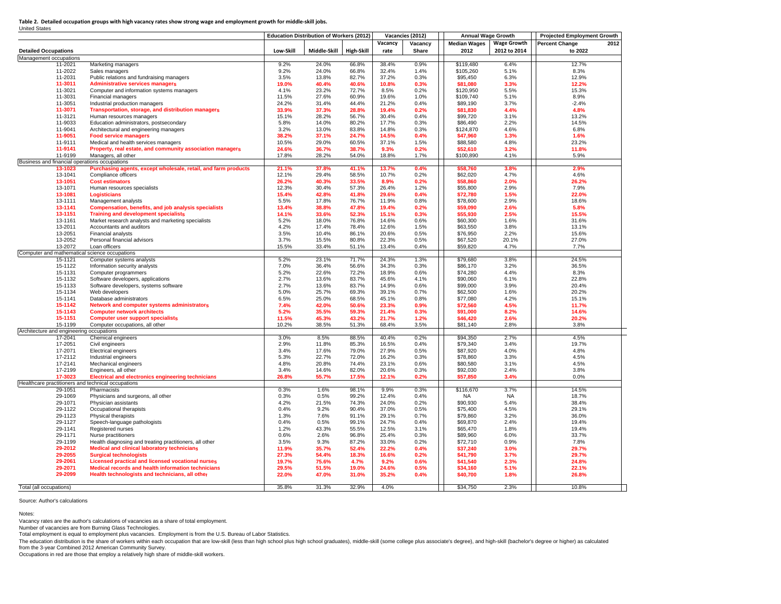Table 2. Detailed occupation groups with high vacancy rates show strong wage and employment growth for middle-skill jobs. United States

|                                                    |                                                                                   | <b>Education Distribution of Workers (2012)</b> |                |                |                | Vacancies (2012) | <b>Annual Wage Growth</b> |                    | <b>Projected Employment Growth</b> |      |  |
|----------------------------------------------------|-----------------------------------------------------------------------------------|-------------------------------------------------|----------------|----------------|----------------|------------------|---------------------------|--------------------|------------------------------------|------|--|
|                                                    |                                                                                   |                                                 |                |                | Vacancy        | Vacancy          | <b>Median Wages</b>       | <b>Wage Growth</b> | <b>Percent Change</b>              | 2012 |  |
| <b>Detailed Occupations</b>                        |                                                                                   | Low-Skill                                       | Middle-Skill   | High-Skill     | rate           | Share            | 2012                      | 2012 to 2014       | to 2022                            |      |  |
| Management occupations                             |                                                                                   |                                                 |                |                |                |                  |                           |                    |                                    |      |  |
| 11-2021                                            | Marketing managers                                                                | 9.2%                                            | 24.0%          | 66.8%          | 38.4%          | 0.9%             | \$119,480                 | 6.4%               | 12.7%                              |      |  |
| 11-2022                                            | Sales managers                                                                    | 9.2%                                            | 24.0%          | 66.8%          | 32.4%          | 1.4%             | \$105,260                 | 5.1%               | 8.3%                               |      |  |
| 11-2031                                            | Public relations and fundraising managers                                         | 3.5%                                            | 13.8%          | 82.7%          | 37.2%          | 0.3%             | \$95,450                  | 6.3%               | 12.9%                              |      |  |
| 11-3011                                            | <b>Administrative services managers</b>                                           | 19.0%                                           | 40.4%<br>23.2% | 40.6%<br>72.7% | 10.8%<br>8.5%  | 0.3%<br>0.2%     | \$81,080                  | 3.3%               | 12.2%                              |      |  |
| 11-3021<br>11-3031                                 | Computer and information systems managers<br><b>Financial managers</b>            | 4.1%<br>11.5%                                   | 27.6%          | 60.9%          | 19.6%          | 1.0%             | \$120,950<br>\$109.740    | 5.5%<br>5.1%       | 15.3%<br>8.9%                      |      |  |
| 11-3051                                            | Industrial production managers                                                    | 24.2%                                           | 31.4%          | 44.4%          | 21.2%          | 0.4%             | \$89,190                  | 3.7%               | $-2.4%$                            |      |  |
| 11-3071                                            | Transportation, storage, and distribution managers                                | 33.9%                                           | 37.3%          | 28.8%          | 19.4%          | 0.2%             | \$81,830                  | 4.4%               | 4.8%                               |      |  |
| 11-3121                                            | Human resources managers                                                          | 15.1%                                           | 28.2%          | 56.7%          | 30.4%          | 0.4%             | \$99,720                  | 3.1%               | 13.2%                              |      |  |
| 11-9033                                            | Education administrators, postsecondary                                           | 5.8%                                            | 14.0%          | 80.2%          | 17.7%          | 0.3%             | \$86,490                  | 2.2%               | 14.5%                              |      |  |
| 11-9041                                            | Architectural and engineering managers                                            | 3.2%                                            | 13.0%          | 83.8%          | 14.8%          | 0.3%             | \$124,870                 | 4.6%               | 6.8%                               |      |  |
| 11-9051                                            | <b>Food service managers</b>                                                      | 38.2%                                           | 37.1%          | 24.7%          | 14.5%          | 0.4%             | \$47,960                  | 1.3%               | 1.6%                               |      |  |
| 11-9111                                            | Medical and health services managers                                              | 10.5%                                           | 29.0%          | 60.5%          | 37.1%          | 1.5%             | \$88,580                  | 4.8%               | 23.2%                              |      |  |
| 11-9141                                            | Property, real estate, and community association managers                         | 24.6%                                           | 36.7%          | 38.7%          | 9.3%           | 0.2%             | \$52,610                  | 3.2%               | 11.8%                              |      |  |
| 11-9199                                            | Managers, all other                                                               | 17.8%                                           | 28.2%          | 54.0%          | 18.8%          | 1.7%             | \$100,890                 | 4.1%               | 5.9%                               |      |  |
| Business and financial operations occupations      |                                                                                   |                                                 |                |                |                |                  |                           |                    |                                    |      |  |
| 13-1023                                            | Purchasing agents, except wholesale, retail, and farm products                    | 21.1%                                           | 37.8%          | 41.1%          | 13.7%          | 0.4%             | \$58,760                  | 3.8%               | 2.9%                               |      |  |
| 13-1041                                            | Compliance officers                                                               | 12.1%                                           | 29.4%          | 58.5%          | 10.7%          | 0.2%             | \$62,020                  | 4.7%               | 4.6%                               |      |  |
| 13-1051                                            | <b>Cost estimators</b>                                                            | 26.2%                                           | 40.3%          | 33.5%          | 8.9%           | 0.2%             | \$58,860                  | 2.0%               | 26.2%                              |      |  |
| 13-1071                                            | Human resources specialists                                                       | 12.3%                                           | 30.4%          | 57.3%          | 26.4%          | 1.2%             | \$55,800                  | 2.9%               | 7.9%                               |      |  |
| 13-1081<br>13-1111                                 | Logisticians                                                                      | 15.4%<br>5.5%                                   | 42.8%<br>17.8% | 41.8%<br>76.7% | 29.6%<br>11.9% | 0.4%<br>0.8%     | \$72,780                  | 1.5%<br>2.9%       | 22.0%<br>18.6%                     |      |  |
| 13-1141                                            | Management analysts<br>Compensation, benefits, and job analysis specialists       | 13.4%                                           | 38.8%          | 47.8%          | 19.4%          | 0.2%             | \$78,600<br>\$59,090      | 2.6%               | 5.8%                               |      |  |
| 13-1151                                            | <b>Training and development specialists</b>                                       | 14.1%                                           | 33.6%          | 52.3%          | 15.1%          | 0.3%             | \$55,930                  | 2.5%               | 15.5%                              |      |  |
| 13-1161                                            | Market research analysts and marketing specialists                                | 5.2%                                            | 18.0%          | 76.8%          | 14.6%          | 0.6%             | \$60,300                  | 1.6%               | 31.6%                              |      |  |
| 13-2011                                            | Accountants and auditors                                                          | 4.2%                                            | 17.4%          | 78.4%          | 12.6%          | 1.5%             | \$63,550                  | 3.8%               | 13.1%                              |      |  |
| 13-2051                                            | <b>Financial analysts</b>                                                         | 3.5%                                            | 10.4%          | 86.1%          | 20.6%          | 0.5%             | \$76,950                  | 2.2%               | 15.6%                              |      |  |
| 13-2052                                            | Personal financial advisors                                                       | 3.7%                                            | 15.5%          | 80.8%          | 22.3%          | 0.5%             | \$67,520                  | 20.1%              | 27.0%                              |      |  |
| 13-2072                                            | Loan officers                                                                     | 15.5%                                           | 33.4%          | 51.1%          | 13.4%          | 0.4%             | \$59,820                  | 4.7%               | 7.7%                               |      |  |
| Computer and mathematical science occupations      |                                                                                   |                                                 |                |                |                |                  |                           |                    |                                    |      |  |
| 15-1121                                            | Computer systems analysts                                                         | 5.2%                                            | 23.1%          | 71.7%          | 24.3%          | 1.3%             | \$79,680                  | 3.8%               | 24.5%                              |      |  |
| 15-1122                                            | Information security analysts                                                     | 7.0%                                            | 36.4%          | 56.6%          | 34.3%          | 0.3%             | \$86,170                  | 3.2%               | 36.5%                              |      |  |
| 15-1131                                            | Computer programmers                                                              | 5.2%                                            | 22.6%          | 72.2%          | 18.9%          | 0.6%             | \$74,280                  | 4.4%               | 8.3%                               |      |  |
| 15-1132                                            | Software developers, applications                                                 | 2.7%                                            | 13.6%          | 83.7%          | 45.6%          | 4.1%             | \$90,060                  | 6.1%               | 22.8%                              |      |  |
| 15-1133                                            | Software developers, systems software                                             | 2.7%                                            | 13.6%          | 83.7%          | 14.9%          | 0.6%             | \$99,000                  | 3.9%               | 20.4%                              |      |  |
| 15-1134                                            | Web developers                                                                    | 5.0%                                            | 25.7%          | 69.3%          | 39.1%          | 0.7%             | \$62,500                  | 1.6%               | 20.2%                              |      |  |
| 15-1141                                            | Database administrators                                                           | 6.5%                                            | 25.0%          | 68.5%          | 45.1%          | 0.8%             | \$77,080                  | 4.2%               | 15.1%                              |      |  |
| 15-1142<br>15-1143                                 | Network and computer systems administrators<br><b>Computer network architects</b> | 7.4%<br>5.2%                                    | 42.0%<br>35.5% | 50.6%<br>59.3% | 23.3%<br>21.4% | 0.9%<br>0.3%     | \$72,560<br>\$91,000      | 4.5%<br>8.2%       | 11.7%<br>14.6%                     |      |  |
| 15-1151                                            | <b>Computer user support specialists</b>                                          | 11.5%                                           | 45.3%          | 43.2%          | 21.7%          | 1.2%             | \$46,420                  | 2.6%               | 20.2%                              |      |  |
| 15-1199                                            | Computer occupations, all other                                                   | 10.2%                                           | 38.5%          | 51.3%          | 68.4%          | 3.5%             | \$81,140                  | 2.8%               | 3.8%                               |      |  |
| Architecture and engineering occupations           |                                                                                   |                                                 |                |                |                |                  |                           |                    |                                    |      |  |
| 17-2041                                            | Chemical engineers                                                                | 3.0%                                            | 8.5%           | 88.5%          | 40.4%          | 0.2%             | \$94,350                  | 2.7%               | 4.5%                               |      |  |
| 17-2051                                            | Civil engineers                                                                   | 2.9%                                            | 11.8%          | 85.3%          | 16.5%          | 0.4%             | \$79,340                  | 3.4%               | 19.7%                              |      |  |
| 17-2071                                            | Electrical engineers                                                              | 3.4%                                            | 17.6%          | 79.0%          | 27.9%          | 0.5%             | \$87,920                  | 4.0%               | 4.8%                               |      |  |
| 17-2112                                            | Industrial engineers                                                              | 5.3%                                            | 22.7%          | 72.0%          | 16.2%          | 0.3%             | \$78,860                  | 3.3%               | 4.5%                               |      |  |
| 17-2141                                            | Mechanical engineers                                                              | 4.8%                                            | 20.8%          | 74.4%          | 23.1%          | 0.6%             | \$80,580                  | 3.1%               | 4.5%                               |      |  |
| 17-2199                                            | Engineers, all other                                                              | 3.4%                                            | 14.6%          | 82.0%          | 20.6%          | 0.3%             | \$92,030                  | 2.4%               | 3.8%                               |      |  |
| 17-3023                                            | <b>Electrical and electronics engineering technicians</b>                         | 26.8%                                           | 55.7%          | 17.5%          | 12.1%          | 0.2%             | \$57,850                  | 3.4%               | 0.0%                               |      |  |
| Healthcare practitioners and technical occupations |                                                                                   |                                                 |                |                |                |                  |                           |                    |                                    |      |  |
| 29-1051                                            | Pharmacists                                                                       | 0.3%                                            | 1.6%           | 98.1%          | 9.9%           | 0.3%             | \$116,670                 | 3.7%               | 14.5%                              |      |  |
| 29-1069                                            | Physicians and surgeons, all other                                                | 0.3%                                            | 0.5%           | 99.2%          | 12.4%          | 0.4%             | NA                        | NA                 | 18.7%                              |      |  |
| 29-1071<br>29-1122                                 | Physician assistants<br>Occupational therapists                                   | 4.2%<br>0.4%                                    | 21.5%<br>9.2%  | 74.3%<br>90.4% | 24.0%<br>37.0% | 0.2%<br>0.5%     | \$90,930<br>\$75,400      | 5.4%<br>4.5%       | 38.4%<br>29.1%                     |      |  |
| 29-1123                                            | Physical therapists                                                               | 1.3%                                            | 7.6%           | 91.1%          | 29.1%          | 0.7%             | \$79,860                  | 3.2%               | 36.0%                              |      |  |
| 29-1127                                            | Speech-language pathologists                                                      | 0.4%                                            | 0.5%           | 99.1%          | 24.7%          | 0.4%             | \$69,870                  | 2.4%               | 19.4%                              |      |  |
| 29-1141                                            | Registered nurses                                                                 | 1.2%                                            | 43.3%          | 55.5%          | 12.5%          | 3.1%             | \$65,470                  | 1.8%               | 19.4%                              |      |  |
| 29-1171                                            | Nurse practitioners                                                               | 0.6%                                            | 2.6%           | 96.8%          | 25.4%          | 0.3%             | \$89,960                  | 6.0%               | 33.7%                              |      |  |
| 29-1199                                            | Health diagnosing and treating practitioners, all other                           | 3.5%                                            | 9.3%           | 87.2%          | 33.0%          | 0.2%             | \$72,710                  | 0.9%               | 7.8%                               |      |  |
| 29-2012                                            | <b>Medical and clinical laboratory technicians</b>                                | 11.9%                                           | 35.7%          | 52.4%          | 22.2%          | 0.4%             | \$37,240                  | 3.0%               | 29.7%                              |      |  |
| 29-2055                                            | <b>Surgical technologists</b>                                                     | 27.3%                                           | 54.4%          | 18.3%          | 16.6%          | 0.2%             | \$41.790                  | 3.7%               | 29.7%                              |      |  |
| 29-2061                                            | <b>Licensed practical and licensed vocational nurses</b>                          | 19.7%                                           | 75.6%          | 4.7%           | 9.2%           | 0.6%             | \$41,540                  | 2.3%               | 24.8%                              |      |  |
| 29-2071                                            | Medical records and health information technicians                                | 29.5%                                           | 51.5%          | 19.0%          | 24.6%          | 0.5%             | \$34,160                  | 5.1%               | 22.1%                              |      |  |
| 29-2099                                            | Health technologists and technicians, all other                                   | 22.0%                                           | 47.0%          | 31.0%          | 35.2%          | 0.4%             | \$40,700                  | 1.8%               | 26.8%                              |      |  |
|                                                    |                                                                                   |                                                 |                |                |                |                  |                           |                    |                                    |      |  |
| Total (all occupations)                            |                                                                                   | 35.8%                                           | 31.3%          | 32.9%          | 4.0%           |                  | \$34,750                  | 2.3%               | 10.8%                              |      |  |

Source: Author's calculations

Notes:

Vacancy rates are the author's calculations of vacancies as a share of total employment.

Number of vacancies are from Burning Glass Technologies.

Total employment is equal to employment plus vacancies. Employment is from the U.S. Bureau of Labor Statistics.

The education distribution is the share of workers within each occupation that are low-skill (less than high school plus high school graduates), middle-skill (some college plus associate's degree), and high-skill (bachelor

from the 3-year Combined 2012 American Community Survey.<br>Occupations in red are those that employ a relatively high share of middle-skill workers.